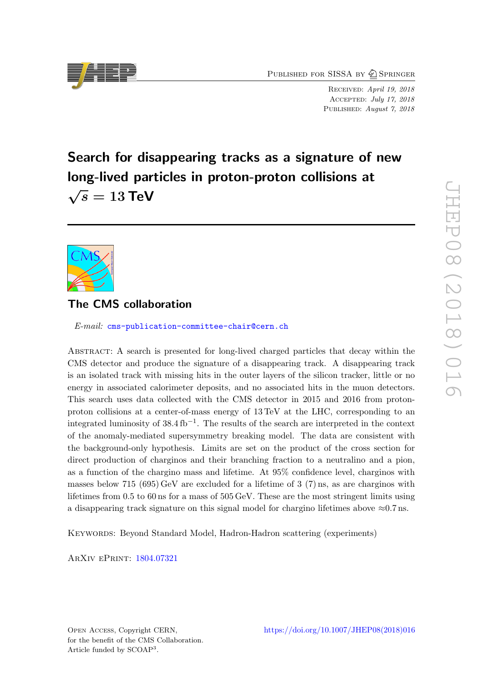PUBLISHED FOR SISSA BY 2 SPRINGER

Received: April 19, 2018 Accepted: July 17, 2018 PUBLISHED: August 7, 2018

# Search for disappearing tracks as a signature of new long-lived particles in proton-proton collisions at  $\sqrt{s} = 13$  TeV



# The CMS collaboration

E-mail: [cms-publication-committee-chair@cern.ch](mailto:cms-publication-committee-chair@cern.ch)

Abstract: A search is presented for long-lived charged particles that decay within the CMS detector and produce the signature of a disappearing track. A disappearing track is an isolated track with missing hits in the outer layers of the silicon tracker, little or no energy in associated calorimeter deposits, and no associated hits in the muon detectors. This search uses data collected with the CMS detector in 2015 and 2016 from protonproton collisions at a center-of-mass energy of 13 TeV at the LHC, corresponding to an integrated luminosity of 38.4 fb−<sup>1</sup> . The results of the search are interpreted in the context of the anomaly-mediated supersymmetry breaking model. The data are consistent with the background-only hypothesis. Limits are set on the product of the cross section for direct production of charginos and their branching fraction to a neutralino and a pion, as a function of the chargino mass and lifetime. At 95% confidence level, charginos with masses below 715 (695) GeV are excluded for a lifetime of 3 (7) ns, as are charginos with lifetimes from 0.5 to 60 ns for a mass of 505 GeV. These are the most stringent limits using a disappearing track signature on this signal model for chargino lifetimes above  $\approx 0.7$  ns.

Keywords: Beyond Standard Model, Hadron-Hadron scattering (experiments)

ArXiv ePrint: [1804.07321](https://arxiv.org/abs/1804.07321)

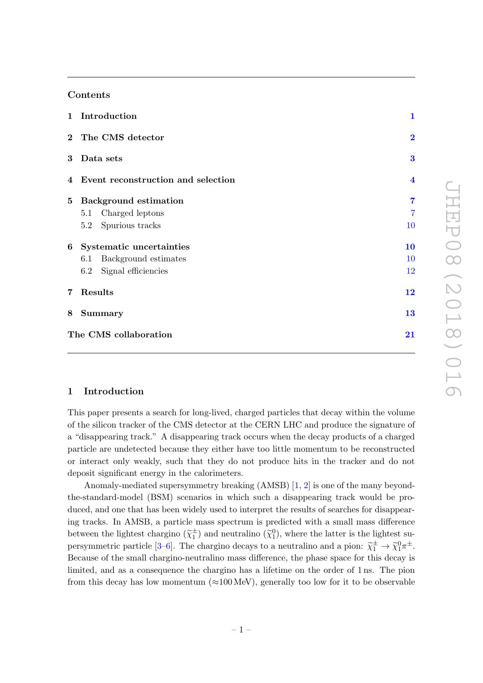### Contents

|             | 1 Introduction                       |                         |  |
|-------------|--------------------------------------|-------------------------|--|
|             | 2 The CMS detector                   |                         |  |
|             | 3 Data sets                          |                         |  |
|             | 4 Event reconstruction and selection | $\overline{\mathbf{4}}$ |  |
| $5^{\circ}$ | <b>Background estimation</b>         | $\overline{7}$          |  |
|             | Charged leptons<br>5.1               | $\overline{7}$          |  |
|             | 5.2 Spurious tracks                  | 10                      |  |
|             | 6 Systematic uncertainties           | 10                      |  |
|             | Background estimates<br>6.1          | 10                      |  |
|             | Signal efficiencies<br>6.2           | 12                      |  |
|             | 7 Results                            | 12                      |  |
| 8           | <b>Summary</b>                       | 13                      |  |
|             | The CMS collaboration                | 21                      |  |

# <span id="page-1-0"></span>1 Introduction

This paper presents a search for long-lived, charged particles that decay within the volume of the silicon tracker of the CMS detector at the CERN LHC and produce the signature of a "disappearing track." A disappearing track occurs when the decay products of a charged particle are undetected because they either have too little momentum to be reconstructed or interact only weakly, such that they do not produce hits in the tracker and do not deposit significant energy in the calorimeters.

Anomaly-mediated supersymmetry breaking (AMSB) [\[1,](#page-17-0) [2\]](#page-17-1) is one of the many beyondthe-standard-model (BSM) scenarios in which such a disappearing track would be produced, and one that has been widely used to interpret the results of searches for disappearing tracks. In AMSB, a particle mass spectrum is predicted with a small mass difference between the lightest chargino  $(\tilde{\chi}_1^{\pm})$  and neutralino  $(\tilde{\chi}_1^0)$ , where the latter is the lightest su-persymmetric particle [\[3–](#page-17-2)[6\]](#page-17-3). The chargino decays to a neutralino and a pion:  $\tilde{\chi}_1^{\pm} \rightarrow \tilde{\chi}_1^0 \pi^{\pm}$ . Because of the small chargino-neutralino mass difference, the phase space for this decay is limited, and as a consequence the chargino has a lifetime on the order of 1 ns. The pion from this decay has low momentum ( $\approx 100 \text{ MeV}$ ), generally too low for it to be observable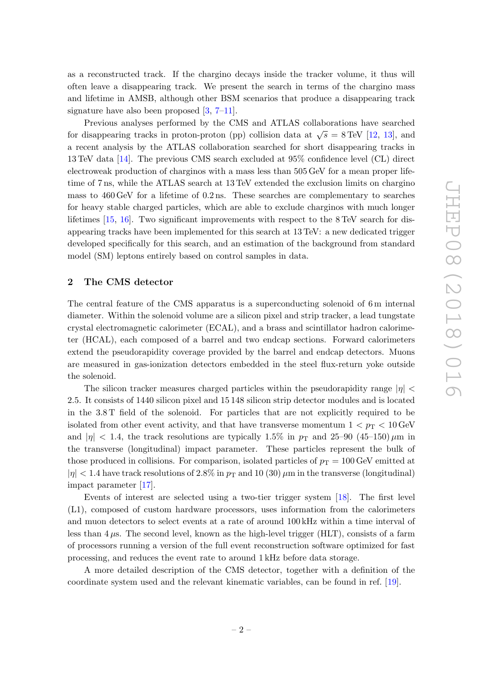as a reconstructed track. If the chargino decays inside the tracker volume, it thus will often leave a disappearing track. We present the search in terms of the chargino mass and lifetime in AMSB, although other BSM scenarios that produce a disappearing track signature have also been proposed [\[3,](#page-17-2) [7–](#page-17-4)[11\]](#page-17-5).

Previous analyses performed by the CMS and ATLAS collaborations have searched for disappearing tracks in proton-proton (pp) collision data at  $\sqrt{s} = 8 \text{ TeV}$  [\[12,](#page-18-0) [13\]](#page-18-1), and a recent analysis by the ATLAS collaboration searched for short disappearing tracks in 13 TeV data [\[14\]](#page-18-2). The previous CMS search excluded at 95% confidence level (CL) direct electroweak production of charginos with a mass less than 505 GeV for a mean proper lifetime of 7 ns, while the ATLAS search at 13 TeV extended the exclusion limits on chargino mass to 460 GeV for a lifetime of 0.2 ns. These searches are complementary to searches for heavy stable charged particles, which are able to exclude charginos with much longer lifetimes [\[15,](#page-18-3) [16\]](#page-18-4). Two significant improvements with respect to the 8 TeV search for disappearing tracks have been implemented for this search at 13 TeV: a new dedicated trigger developed specifically for this search, and an estimation of the background from standard model (SM) leptons entirely based on control samples in data.

### <span id="page-2-0"></span>2 The CMS detector

The central feature of the CMS apparatus is a superconducting solenoid of 6 m internal diameter. Within the solenoid volume are a silicon pixel and strip tracker, a lead tungstate crystal electromagnetic calorimeter (ECAL), and a brass and scintillator hadron calorimeter (HCAL), each composed of a barrel and two endcap sections. Forward calorimeters extend the pseudorapidity coverage provided by the barrel and endcap detectors. Muons are measured in gas-ionization detectors embedded in the steel flux-return yoke outside the solenoid.

The silicon tracker measures charged particles within the pseudorapidity range  $|\eta|$ 2.5. It consists of 1440 silicon pixel and 15 148 silicon strip detector modules and is located in the 3.8 T field of the solenoid. For particles that are not explicitly required to be isolated from other event activity, and that have transverse momentum  $1 < p<sub>T</sub> < 10$  GeV and  $|\eta|$  < 1.4, the track resolutions are typically 1.5% in  $p_T$  and 25–90 (45–150)  $\mu$ m in the transverse (longitudinal) impact parameter. These particles represent the bulk of those produced in collisions. For comparison, isolated particles of  $p_T = 100$  GeV emitted at  $|\eta|$  < 1.4 have track resolutions of 2.8% in  $p_T$  and 10 (30)  $\mu$ m in the transverse (longitudinal) impact parameter [\[17\]](#page-18-5).

Events of interest are selected using a two-tier trigger system [\[18\]](#page-18-6). The first level (L1), composed of custom hardware processors, uses information from the calorimeters and muon detectors to select events at a rate of around 100 kHz within a time interval of less than  $4 \mu s$ . The second level, known as the high-level trigger (HLT), consists of a farm of processors running a version of the full event reconstruction software optimized for fast processing, and reduces the event rate to around 1 kHz before data storage.

A more detailed description of the CMS detector, together with a definition of the coordinate system used and the relevant kinematic variables, can be found in ref. [\[19\]](#page-18-7).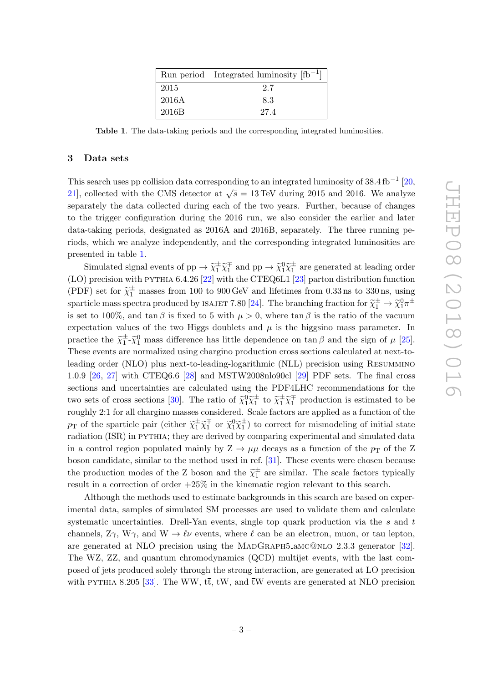|       | Run period Integrated luminosity $[fb^{-1}]$ |
|-------|----------------------------------------------|
| 2015  | 2.7                                          |
| 2016A | 83                                           |
| 2016B | 27.4                                         |

<span id="page-3-1"></span>Table 1. The data-taking periods and the corresponding integrated luminosities.

### <span id="page-3-0"></span>3 Data sets

This search uses pp collision data corresponding to an integrated luminosity of  $38.4 \text{ fb}^{-1}$  [\[20,](#page-18-8) [21\]](#page-18-9), collected with the CMS detector at  $\sqrt{s} = 13 \text{ TeV}$  during 2015 and 2016. We analyze separately the data collected during each of the two years. Further, because of changes to the trigger configuration during the 2016 run, we also consider the earlier and later data-taking periods, designated as 2016A and 2016B, separately. The three running periods, which we analyze independently, and the corresponding integrated luminosities are presented in table [1.](#page-3-1)

Simulated signal events of  $pp \to \tilde{\chi}_1^{\pm} \tilde{\chi}_1^{\mp}$  and  $pp \to \tilde{\chi}_1^0 \tilde{\chi}_1^{\pm}$  are generated at leading order (LO) precision with PYTHIA 6.4.26 [\[22\]](#page-18-10) with the CTEQ6L1 [\[23\]](#page-18-11) parton distribution function (PDF) set for  $\tilde{\chi}_1^{\pm}$  masses from 100 to 900 GeV and lifetimes from 0.33 ns to 330 ns, using sparticle mass spectra produced by ISAJET 7.80 [\[24\]](#page-18-12). The branching fraction for  $\tilde{\chi}_1^{\pm} \to \tilde{\chi}_1^0 \pi^{\pm}$ is set to 100%, and tan β is fixed to 5 with  $\mu > 0$ , where tan β is the ratio of the vacuum expectation values of the two Higgs doublets and  $\mu$  is the higgsino mass parameter. In practice the  $\tilde{\chi}_1^{\pm}$ - $\tilde{\chi}_1^0$  mass difference has little dependence on tan  $\beta$  and the sign of  $\mu$  [\[25\]](#page-18-13). These events are normalized using chargino production cross sections calculated at next-toleading order (NLO) plus next-to-leading-logarithmic (NLL) precision using Resummino 1.0.9 [\[26,](#page-18-14) [27\]](#page-18-15) with CTEQ6.6 [\[28\]](#page-18-16) and MSTW2008nlo90cl [\[29\]](#page-18-17) PDF sets. The final cross sections and uncertainties are calculated using the PDF4LHC recommendations for the two sets of cross sections [\[30\]](#page-19-0). The ratio of  $\tilde{\chi}_1^0 \tilde{\chi}_1^{\pm}$  to  $\tilde{\chi}_1^{\pm} \tilde{\chi}_1^{\mp}$  production is estimated to be roughly 2:1 for all chargino masses considered. Scale factors are applied as a function of the  $p_{\text{T}}$  of the sparticle pair (either  $\tilde{\chi}_1^{\pm} \tilde{\chi}_1^{\mp}$  or  $\tilde{\chi}_1^{0} \tilde{\chi}_1^{\pm}$ ) to correct for mismodeling of initial state radiation (ISR) in PYTHIA; they are derived by comparing experimental and simulated data in a control region populated mainly by  $Z \to \mu\mu$  decays as a function of the  $p_T$  of the Z boson candidate, similar to the method used in ref. [\[31\]](#page-19-1). These events were chosen because the production modes of the Z boson and the  $\tilde{\chi}_1^{\pm}$  are similar. The scale factors typically result in a correction of order +25% in the kinematic region relevant to this search.

Although the methods used to estimate backgrounds in this search are based on experimental data, samples of simulated SM processes are used to validate them and calculate systematic uncertainties. Drell-Yan events, single top quark production via the s and t channels,  $Z\gamma$ ,  $W\gamma$ , and  $W \rightarrow \ell \nu$  events, where  $\ell$  can be an electron, muon, or tau lepton, are generated at NLO precision using the MadGraph5 amc@nlo 2.3.3 generator [\[32\]](#page-19-2). The WZ, ZZ, and quantum chromodynamics (QCD) multijet events, with the last composed of jets produced solely through the strong interaction, are generated at LO precision with PYTHIA 8.205 [\[33\]](#page-19-3). The WW,  $t\bar{t}$ , tW, and  $\bar{t}W$  events are generated at NLO precision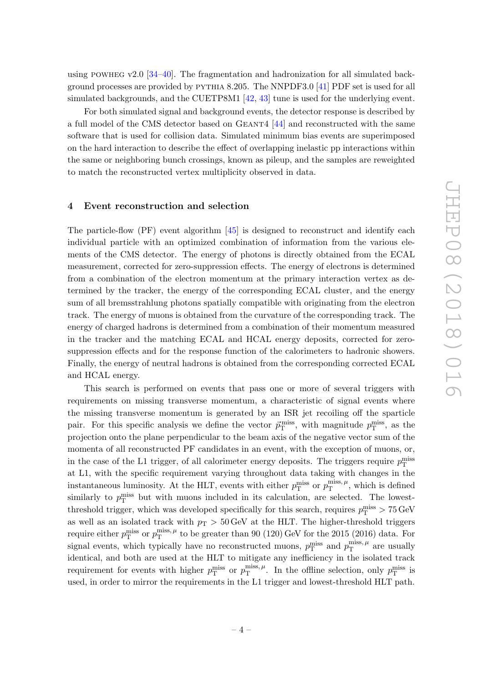using POWHEG v2.0  $[34-40]$  $[34-40]$ . The fragmentation and hadronization for all simulated background processes are provided by pythia 8.205. The NNPDF3.0 [\[41\]](#page-19-6) PDF set is used for all simulated backgrounds, and the CUETP8M1 [\[42,](#page-19-7) [43\]](#page-19-8) tune is used for the underlying event.

For both simulated signal and background events, the detector response is described by a full model of the CMS detector based on GEANT4 [\[44\]](#page-19-9) and reconstructed with the same software that is used for collision data. Simulated minimum bias events are superimposed on the hard interaction to describe the effect of overlapping inelastic pp interactions within the same or neighboring bunch crossings, known as pileup, and the samples are reweighted to match the reconstructed vertex multiplicity observed in data.

#### <span id="page-4-0"></span>4 Event reconstruction and selection

The particle-flow  $(PF)$  event algorithm  $[45]$  is designed to reconstruct and identify each individual particle with an optimized combination of information from the various elements of the CMS detector. The energy of photons is directly obtained from the ECAL measurement, corrected for zero-suppression effects. The energy of electrons is determined from a combination of the electron momentum at the primary interaction vertex as determined by the tracker, the energy of the corresponding ECAL cluster, and the energy sum of all bremsstrahlung photons spatially compatible with originating from the electron track. The energy of muons is obtained from the curvature of the corresponding track. The energy of charged hadrons is determined from a combination of their momentum measured in the tracker and the matching ECAL and HCAL energy deposits, corrected for zerosuppression effects and for the response function of the calorimeters to hadronic showers. Finally, the energy of neutral hadrons is obtained from the corresponding corrected ECAL and HCAL energy.

This search is performed on events that pass one or more of several triggers with requirements on missing transverse momentum, a characteristic of signal events where the missing transverse momentum is generated by an ISR jet recoiling off the sparticle pair. For this specific analysis we define the vector  $\vec{p}_{\rm T}^{\rm miss}$ , with magnitude  $p_{\rm T}^{\rm miss}$ , as the projection onto the plane perpendicular to the beam axis of the negative vector sum of the momenta of all reconstructed PF candidates in an event, with the exception of muons, or, in the case of the L1 trigger, of all calorimeter energy deposits. The triggers require  $p_T^{\text{miss}}$ at L1, with the specific requirement varying throughout data taking with changes in the instantaneous luminosity. At the HLT, events with either  $p_{\textrm{T}}^{\textrm{miss}}$  or  $p_{\textrm{T}}^{\textrm{miss,}\,\mu}$  $T_{\text{T}}^{\text{miss}, \mu}$ , which is defined similarly to  $p_T^{\text{miss}}$  but with muons included in its calculation, are selected. The lowestthreshold trigger, which was developed specifically for this search, requires  $p_T^{\text{miss}} > 75 \,\text{GeV}$ as well as an isolated track with  $p_T > 50$  GeV at the HLT. The higher-threshold triggers require either  $p_{\rm T}^{\rm miss}$  or  $p_{\rm T}^{\rm miss,\,\mu}$  $_{\text{T}}^{\text{miss},\,\mu}$  to be greater than 90 (120) GeV for the 2015 (2016) data. For signal events, which typically have no reconstructed muons,  $p_T^{\text{miss}}$  and  $p_T^{\text{miss}, \mu}$  $T_{\text{T}}^{\text{miss}, \mu}$  are usually identical, and both are used at the HLT to mitigate any inefficiency in the isolated track requirement for events with higher  $p_{\rm T}^{\rm miss}$  or  $p_{\rm T}^{\rm miss,\,\mu}$  $T_{\rm T}^{\rm miss,\,\mu}$ . In the offline selection, only  $p_{\rm T}^{\rm miss}$  is used, in order to mirror the requirements in the L1 trigger and lowest-threshold HLT path.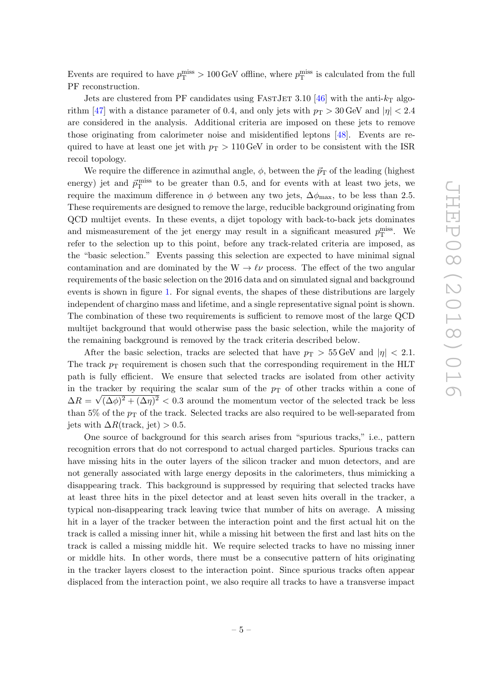Events are required to have  $p_T^{\text{miss}} > 100 \,\text{GeV}$  offline, where  $p_T^{\text{miss}}$  is calculated from the full PF reconstruction.

Jets are clustered from PF candidates using FASTJET 3.10 [\[46\]](#page-19-11) with the anti- $k_T$  algo-rithm [\[47\]](#page-19-12) with a distance parameter of 0.4, and only jets with  $p_T > 30$  GeV and  $|\eta| < 2.4$ are considered in the analysis. Additional criteria are imposed on these jets to remove those originating from calorimeter noise and misidentified leptons [\[48\]](#page-19-13). Events are required to have at least one jet with  $p_T > 110 \,\text{GeV}$  in order to be consistent with the ISR recoil topology.

We require the difference in azimuthal angle,  $\phi$ , between the  $\vec{p}_T$  of the leading (highest energy) jet and  $\vec{p}_{\rm T}^{\rm miss}$  to be greater than 0.5, and for events with at least two jets, we require the maximum difference in  $\phi$  between any two jets,  $\Delta\phi_{\text{max}}$ , to be less than 2.5. These requirements are designed to remove the large, reducible background originating from QCD multijet events. In these events, a dijet topology with back-to-back jets dominates and mismeasurement of the jet energy may result in a significant measured  $p_T^{\text{miss}}$ . We refer to the selection up to this point, before any track-related criteria are imposed, as the "basic selection." Events passing this selection are expected to have minimal signal contamination and are dominated by the W  $\rightarrow \ell \nu$  process. The effect of the two angular requirements of the basic selection on the 2016 data and on simulated signal and background events is shown in figure [1.](#page-6-0) For signal events, the shapes of these distributions are largely independent of chargino mass and lifetime, and a single representative signal point is shown. The combination of these two requirements is sufficient to remove most of the large QCD multijet background that would otherwise pass the basic selection, while the majority of the remaining background is removed by the track criteria described below.

After the basic selection, tracks are selected that have  $p_T > 55$  GeV and  $|\eta| < 2.1$ . The track  $p_{\rm T}$  requirement is chosen such that the corresponding requirement in the HLT path is fully efficient. We ensure that selected tracks are isolated from other activity in the tracker by requiring the scalar sum of the  $p_T$  of other tracks within a cone of  $\Delta R = \sqrt{(\Delta \phi)^2 + (\Delta \eta)^2} < 0.3$  around the momentum vector of the selected track be less than 5% of the  $p<sub>T</sub>$  of the track. Selected tracks are also required to be well-separated from jets with  $\Delta R$ (track, jet) > 0.5.

One source of background for this search arises from "spurious tracks," i.e., pattern recognition errors that do not correspond to actual charged particles. Spurious tracks can have missing hits in the outer layers of the silicon tracker and muon detectors, and are not generally associated with large energy deposits in the calorimeters, thus mimicking a disappearing track. This background is suppressed by requiring that selected tracks have at least three hits in the pixel detector and at least seven hits overall in the tracker, a typical non-disappearing track leaving twice that number of hits on average. A missing hit in a layer of the tracker between the interaction point and the first actual hit on the track is called a missing inner hit, while a missing hit between the first and last hits on the track is called a missing middle hit. We require selected tracks to have no missing inner or middle hits. In other words, there must be a consecutive pattern of hits originating in the tracker layers closest to the interaction point. Since spurious tracks often appear displaced from the interaction point, we also require all tracks to have a transverse impact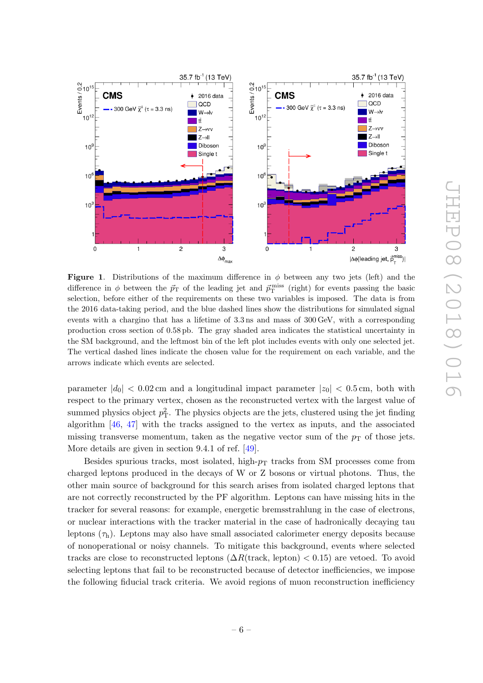

<span id="page-6-0"></span>**Figure 1.** Distributions of the maximum difference in  $\phi$  between any two jets (left) and the difference in  $\phi$  between the  $\vec{p}_{\rm T}$  of the leading jet and  $\vec{p}_{\rm T}^{\rm miss}$  (right) for events passing the basic selection, before either of the requirements on these two variables is imposed. The data is from the 2016 data-taking period, and the blue dashed lines show the distributions for simulated signal events with a chargino that has a lifetime of 3.3 ns and mass of 300 GeV, with a corresponding production cross section of 0.58 pb. The gray shaded area indicates the statistical uncertainty in the SM background, and the leftmost bin of the left plot includes events with only one selected jet. The vertical dashed lines indicate the chosen value for the requirement on each variable, and the arrows indicate which events are selected.

parameter  $|d_0| < 0.02$  cm and a longitudinal impact parameter  $|z_0| < 0.5$  cm, both with respect to the primary vertex, chosen as the reconstructed vertex with the largest value of summed physics object  $p_T^2$ . The physics objects are the jets, clustered using the jet finding algorithm [\[46,](#page-19-11) [47\]](#page-19-12) with the tracks assigned to the vertex as inputs, and the associated missing transverse momentum, taken as the negative vector sum of the  $p<sub>T</sub>$  of those jets. More details are given in section 9.4.1 of ref. [\[49\]](#page-20-0).

Besides spurious tracks, most isolated, high- $p<sub>T</sub>$  tracks from SM processes come from charged leptons produced in the decays of W or Z bosons or virtual photons. Thus, the other main source of background for this search arises from isolated charged leptons that are not correctly reconstructed by the PF algorithm. Leptons can have missing hits in the tracker for several reasons: for example, energetic bremsstrahlung in the case of electrons, or nuclear interactions with the tracker material in the case of hadronically decaying tau leptons  $(\tau_h)$ . Leptons may also have small associated calorimeter energy deposits because of nonoperational or noisy channels. To mitigate this background, events where selected tracks are close to reconstructed leptons  $(\Delta R(\text{track}, \text{lepton}) < 0.15)$  are vetoed. To avoid selecting leptons that fail to be reconstructed because of detector inefficiencies, we impose the following fiducial track criteria. We avoid regions of muon reconstruction inefficiency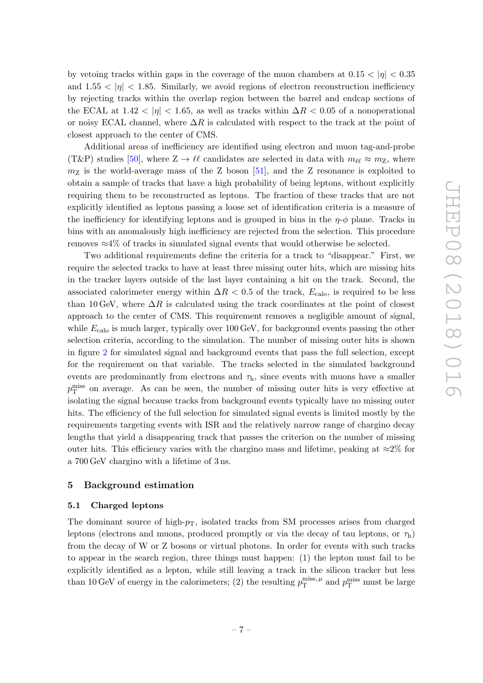by vetoing tracks within gaps in the coverage of the muon chambers at  $0.15 < |\eta| < 0.35$ and  $1.55 < |\eta| < 1.85$ . Similarly, we avoid regions of electron reconstruction inefficiency by rejecting tracks within the overlap region between the barrel and endcap sections of the ECAL at 1.42 <  $|\eta|$  < 1.65, as well as tracks within  $\Delta R$  < 0.05 of a nonoperational or noisy ECAL channel, where  $\Delta R$  is calculated with respect to the track at the point of closest approach to the center of CMS.

Additional areas of inefficiency are identified using electron and muon tag-and-probe (T&P) studies [\[50\]](#page-20-1), where  $Z \to \ell \ell$  candidates are selected in data with  $m_{\ell \ell} \approx m_Z$ , where  $m_Z$  is the world-average mass of the Z boson [\[51\]](#page-20-2), and the Z resonance is exploited to obtain a sample of tracks that have a high probability of being leptons, without explicitly requiring them to be reconstructed as leptons. The fraction of these tracks that are not explicitly identified as leptons passing a loose set of identification criteria is a measure of the inefficiency for identifying leptons and is grouped in bins in the  $\eta$ - $\phi$  plane. Tracks in bins with an anomalously high inefficiency are rejected from the selection. This procedure removes  $\approx 4\%$  of tracks in simulated signal events that would otherwise be selected.

Two additional requirements define the criteria for a track to "disappear." First, we require the selected tracks to have at least three missing outer hits, which are missing hits in the tracker layers outside of the last layer containing a hit on the track. Second, the associated calorimeter energy within  $\Delta R < 0.5$  of the track,  $E_{\text{calo}}$ , is required to be less than 10 GeV, where  $\Delta R$  is calculated using the track coordinates at the point of closest approach to the center of CMS. This requirement removes a negligible amount of signal, while  $E_{\text{calo}}$  is much larger, typically over 100 GeV, for background events passing the other selection criteria, according to the simulation. The number of missing outer hits is shown in figure [2](#page-8-0) for simulated signal and background events that pass the full selection, except for the requirement on that variable. The tracks selected in the simulated background events are predominantly from electrons and  $\tau_h$ , since events with muons have a smaller  $p_T^{\text{miss}}$  on average. As can be seen, the number of missing outer hits is very effective at isolating the signal because tracks from background events typically have no missing outer hits. The efficiency of the full selection for simulated signal events is limited mostly by the requirements targeting events with ISR and the relatively narrow range of chargino decay lengths that yield a disappearing track that passes the criterion on the number of missing outer hits. This efficiency varies with the chargino mass and lifetime, peaking at  $\approx 2\%$  for a 700 GeV chargino with a lifetime of 3 ns.

#### <span id="page-7-0"></span>5 Background estimation

#### <span id="page-7-1"></span>5.1 Charged leptons

The dominant source of high- $p<sub>T</sub>$ , isolated tracks from SM processes arises from charged leptons (electrons and muons, produced promptly or via the decay of tau leptons, or  $\tau_h$ ) from the decay of W or Z bosons or virtual photons. In order for events with such tracks to appear in the search region, three things must happen: (1) the lepton must fail to be explicitly identified as a lepton, while still leaving a track in the silicon tracker but less than 10 GeV of energy in the calorimeters; (2) the resulting  $p_T^{\text{miss}, \mu}$  $T_{\rm T}^{\rm miss,\,\mu}$  and  $p_{\rm T}^{\rm miss}$  must be large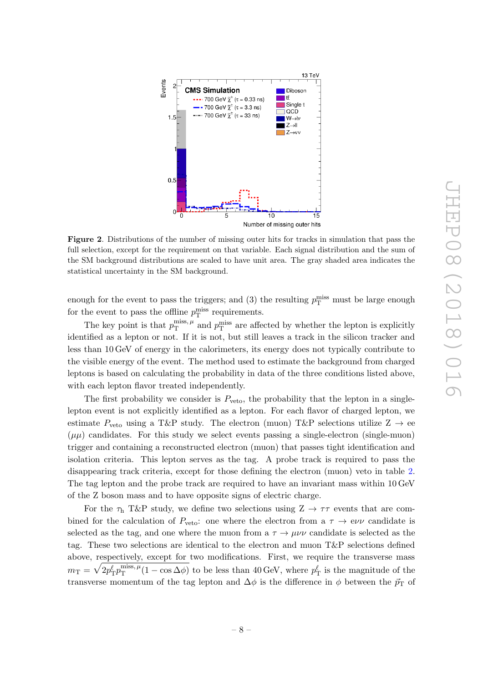

<span id="page-8-0"></span>Figure 2. Distributions of the number of missing outer hits for tracks in simulation that pass the full selection, except for the requirement on that variable. Each signal distribution and the sum of the SM background distributions are scaled to have unit area. The gray shaded area indicates the statistical uncertainty in the SM background.

enough for the event to pass the triggers; and (3) the resulting  $p_T^{\text{miss}}$  must be large enough for the event to pass the offline  $p_T^{\text{miss}}$  requirements.

The key point is that  $p_T^{\text{miss}, \mu}$  $T<sub>T</sub><sup>miss,  $\mu$</sup>  and  $p<sub>T</sub><sup>miss</sup>$  are affected by whether the lepton is explicitly$ identified as a lepton or not. If it is not, but still leaves a track in the silicon tracker and less than 10 GeV of energy in the calorimeters, its energy does not typically contribute to the visible energy of the event. The method used to estimate the background from charged leptons is based on calculating the probability in data of the three conditions listed above, with each lepton flavor treated independently.

The first probability we consider is  $P_{\text{veto}}$ , the probability that the lepton in a singlelepton event is not explicitly identified as a lepton. For each flavor of charged lepton, we estimate  $P_{\text{veto}}$  using a T&P study. The electron (muon) T&P selections utilize  $Z \rightarrow e$ e  $(\mu\mu)$  candidates. For this study we select events passing a single-electron (single-muon) trigger and containing a reconstructed electron (muon) that passes tight identification and isolation criteria. This lepton serves as the tag. A probe track is required to pass the disappearing track criteria, except for those defining the electron (muon) veto in table [2.](#page-9-0) The tag lepton and the probe track are required to have an invariant mass within 10 GeV of the Z boson mass and to have opposite signs of electric charge.

For the  $\tau_h$  T&P study, we define two selections using  $Z \to \tau\tau$  events that are combined for the calculation of  $P_{\text{veto}}$ : one where the electron from a  $\tau \to e\nu\nu$  candidate is selected as the tag, and one where the muon from a  $\tau \to \mu \nu \nu$  candidate is selected as the tag. These two selections are identical to the electron and muon T&P selections defined above, respectively, except for two modifications. First, we require the transverse mass  $m_{\rm T} = \sqrt{2 p_{\rm T}^{\ell} p_{\rm T}^{\rm miss,\,\mu}}$  $T_{\rm T}^{\rm miss,\,\mu}(1-\cos\Delta\phi)$  to be less than 40 GeV, where  $p_{\rm T}^{\ell}$  is the magnitude of the transverse momentum of the tag lepton and  $\Delta \phi$  is the difference in  $\phi$  between the  $\vec{p}_T$  of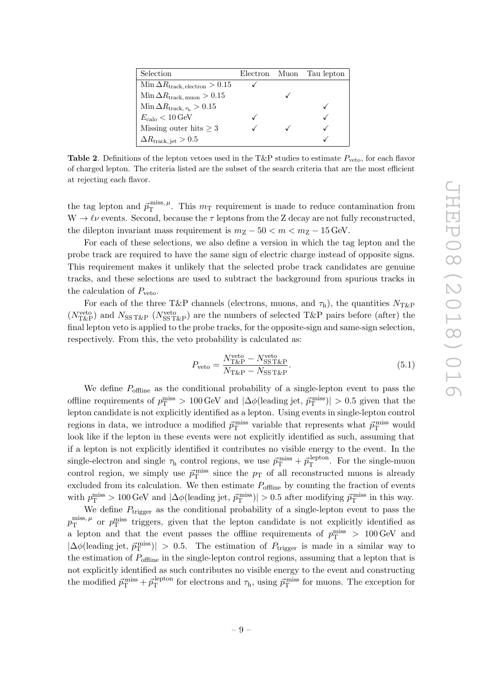| Selection                                             |  | Electron Muon Tau lepton |
|-------------------------------------------------------|--|--------------------------|
| $\text{Min }\Delta R_{\text{track, electron}} > 0.15$ |  |                          |
| Min $\Delta R_{\text{track, muon}} > 0.15$            |  |                          |
| Min $\Delta R_{\text{track},\tau_{\text{h}}} > 0.15$  |  |                          |
| $E_{\rm calo} < 10 \,\text{GeV}$                      |  |                          |
| Missing outer hits $\geq 3$                           |  |                          |
| $\Delta R_{\text{track, jet}} > 0.5$                  |  |                          |

<span id="page-9-0"></span>**Table 2.** Definitions of the lepton vetoes used in the T&P studies to estimate  $P_{\text{veto}}$ , for each flavor of charged lepton. The criteria listed are the subset of the search criteria that are the most efficient at rejecting each flavor.

the tag lepton and  $\vec{p}_{\rm T}^{\rm miss, \, \mu}$  $T_{\text{T}}^{\text{miss}, \mu}$ . This  $m_{\text{T}}$  requirement is made to reduce contamination from  $W \to \ell \nu$  events. Second, because the  $\tau$  leptons from the Z decay are not fully reconstructed, the dilepton invariant mass requirement is  $m_Z - 50 < m < m_Z - 15$  GeV.

For each of these selections, we also define a version in which the tag lepton and the probe track are required to have the same sign of electric charge instead of opposite signs. This requirement makes it unlikely that the selected probe track candidates are genuine tracks, and these selections are used to subtract the background from spurious tracks in the calculation of  $P_{\text{veto}}$ .

For each of the three T&P channels (electrons, muons, and  $\tau_h$ ), the quantities  $N_{T\&P}$  $(N_{\text{T\&P}}^{\text{veto}})$  and  $N_{\text{SS T\&P}}$  ( $N_{\text{SS T\&P}}^{\text{veto}}$ ) are the numbers of selected T&P pairs before (after) the final lepton veto is applied to the probe tracks, for the opposite-sign and same-sign selection, respectively. From this, the veto probability is calculated as:

$$
P_{\text{veto}} = \frac{N_{\text{T\&P}}^{\text{veto}} - N_{\text{SS T\&P}}^{\text{veto}}}{N_{\text{T\&P}} - N_{\text{SS T\&P}}}.\tag{5.1}
$$

We define  $P_{\text{offline}}$  as the conditional probability of a single-lepton event to pass the offline requirements of  $p_T^{\text{miss}} > 100 \,\text{GeV}$  and  $|\Delta \phi(\text{leading jet}, \vec{p}_T^{\text{miss}})| > 0.5$  given that the lepton candidate is not explicitly identified as a lepton. Using events in single-lepton control regions in data, we introduce a modified  $\vec{p}_{\rm T}^{\rm miss}$  variable that represents what  $\vec{p}_{\rm T}^{\rm miss}$  would look like if the lepton in these events were not explicitly identified as such, assuming that if a lepton is not explicitly identified it contributes no visible energy to the event. In the single-electron and single  $\tau_h$  control regions, we use  $\vec{p}_{\rm T}^{\rm miss} + \vec{p}_{\rm T}^{\rm \,lepton}$  $T_{\rm T}^{\rm lepton}$ . For the single-muon control region, we simply use  $\vec{p}_{\rm T}^{\rm miss}$  since the  $p_{\rm T}$  of all reconstructed muons is already excluded from its calculation. We then estimate  $P_{\text{offline}}$  by counting the fraction of events with  $p_T^{\text{miss}} > 100 \,\text{GeV}$  and  $|\Delta \phi(\text{leading jet}, \vec{p}_T^{\text{miss}})| > 0.5$  after modifying  $\vec{p}_T^{\text{miss}}$  in this way.

We define  $P_{\text{trigger}}$  as the conditional probability of a single-lepton event to pass the  $p_{\rm T}^{\rm miss,\,\mu}$  $T_{\rm T}^{\rm miss,\,\mu}$  or  $p_{\rm T}^{\rm miss}$  triggers, given that the lepton candidate is not explicitly identified as a lepton and that the event passes the offline requirements of  $p_T^{\text{miss}} > 100 \,\text{GeV}$  and  $|\Delta\phi$ (leading jet,  $\vec{p}_{\rm T}^{\rm miss}$ ) > 0.5. The estimation of  $P_{\rm trigger}$  is made in a similar way to the estimation of  $P_{\text{offline}}$  in the single-lepton control regions, assuming that a lepton that is not explicitly identified as such contributes no visible energy to the event and constructing the modified  $\vec{p}_{\text{T}}^{\text{miss}} + \vec{p}_{\text{T}}^{\text{lepton}}$ <sup>l</sup>epton for electrons and  $\tau_h$ , using  $\vec{p}_{\rm T}^{\rm miss}$  for muons. The exception for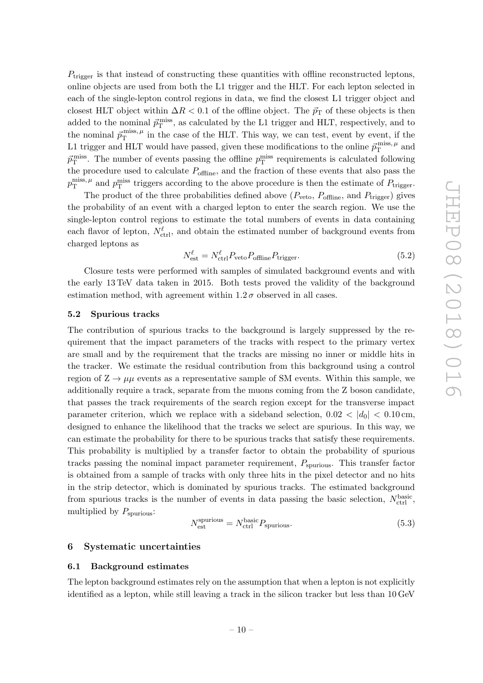$P_{\text{trigger}}$  is that instead of constructing these quantities with offline reconstructed leptons, online objects are used from both the L1 trigger and the HLT. For each lepton selected in each of the single-lepton control regions in data, we find the closest L1 trigger object and closest HLT object within  $\Delta R < 0.1$  of the offline object. The  $\vec{p}_T$  of these objects is then added to the nominal  $\vec{p}_{\rm T}^{\rm miss}$ , as calculated by the L1 trigger and HLT, respectively, and to the nominal  $\vec{p}_{\mathrm{T}}^{\text{miss}, \mu}$  $T_{\text{T}}^{\text{miss},\mu}$  in the case of the HLT. This way, we can test, event by event, if the L1 trigger and HLT would have passed, given these modifications to the online  $\vec{p}_{\rm T}^{\rm miss, \,\mu}$  $\theta_{\rm T}^{\rm miss, \, \mu}$  and  $\vec{p}_{\rm T}^{\rm miss}$ . The number of events passing the offline  $p_{\rm T}^{\rm miss}$  requirements is calculated following the procedure used to calculate  $P_{\text{offline}}$ , and the fraction of these events that also pass the  $p_{\rm T}^{\rm miss,\,\mu}$  $T_{\text{T}}^{\text{miss},\,\mu}$  and  $p_{\text{T}}^{\text{miss}}$  triggers according to the above procedure is then the estimate of  $P_{\text{trigger}}$ .

The product of the three probabilities defined above  $(P_{\text{veto}}, P_{\text{offline}}, \text{ and } P_{\text{trigger}})$  gives the probability of an event with a charged lepton to enter the search region. We use the single-lepton control regions to estimate the total numbers of events in data containing each flavor of lepton,  $N_{\text{ctrl}}^{\ell}$ , and obtain the estimated number of background events from charged leptons as

$$
N_{\text{est}}^{\ell} = N_{\text{ctrl}}^{\ell} P_{\text{veto}} P_{\text{offline}} P_{\text{trigger}}.
$$
\n(5.2)

Closure tests were performed with samples of simulated background events and with the early 13 TeV data taken in 2015. Both tests proved the validity of the background estimation method, with agreement within  $1.2\sigma$  observed in all cases.

# <span id="page-10-0"></span>5.2 Spurious tracks

The contribution of spurious tracks to the background is largely suppressed by the requirement that the impact parameters of the tracks with respect to the primary vertex are small and by the requirement that the tracks are missing no inner or middle hits in the tracker. We estimate the residual contribution from this background using a control region of  $Z \rightarrow \mu\mu$  events as a representative sample of SM events. Within this sample, we additionally require a track, separate from the muons coming from the Z boson candidate, that passes the track requirements of the search region except for the transverse impact parameter criterion, which we replace with a sideband selection,  $0.02 < |d_0| < 0.10$  cm, designed to enhance the likelihood that the tracks we select are spurious. In this way, we can estimate the probability for there to be spurious tracks that satisfy these requirements. This probability is multiplied by a transfer factor to obtain the probability of spurious tracks passing the nominal impact parameter requirement, Pspurious. This transfer factor is obtained from a sample of tracks with only three hits in the pixel detector and no hits in the strip detector, which is dominated by spurious tracks. The estimated background from spurious tracks is the number of events in data passing the basic selection,  $N_{\text{ctrl}}^{\text{basic}}$ , multiplied by  $P_{\text{spurious}}$ :

$$
N_{\text{est}}^{\text{spurious}} = N_{\text{ctrl}}^{\text{basic}} P_{\text{spurious}}.\tag{5.3}
$$

# <span id="page-10-1"></span>6 Systematic uncertainties

#### <span id="page-10-2"></span>6.1 Background estimates

The lepton background estimates rely on the assumption that when a lepton is not explicitly identified as a lepton, while still leaving a track in the silicon tracker but less than 10 GeV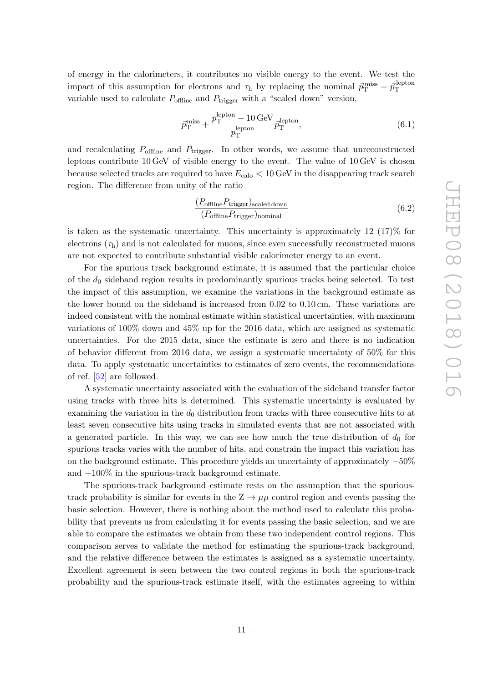of energy in the calorimeters, it contributes no visible energy to the event. We test the impact of this assumption for electrons and  $\tau_h$  by replacing the nominal  $\vec{p}_{\rm T}^{\rm miss} + \vec{p}_{\rm T}^{\rm{lepton}}$ T variable used to calculate  $P_{\text{offline}}$  and  $P_{\text{trigger}}$  with a "scaled down" version,

$$
\vec{p}_{\rm T}^{\rm miss} + \frac{p_{\rm T}^{\rm lepton} - 10 \,\text{GeV}}{p_{\rm T}^{\rm lepton}} \vec{p}_{\rm T}^{\rm lepton},\tag{6.1}
$$

and recalculating  $P_{\text{offline}}$  and  $P_{\text{trigger}}$ . In other words, we assume that unreconstructed leptons contribute 10 GeV of visible energy to the event. The value of 10 GeV is chosen because selected tracks are required to have  $E_{\rm{calo}} < 10 \,\text{GeV}$  in the disappearing track search region. The difference from unity of the ratio

$$
\frac{(P_{\text{offline}}P_{\text{trigger}})_{\text{scaled down}}}{(P_{\text{offline}}P_{\text{trigger}})_{\text{nominal}}}
$$
\n(6.2)

is taken as the systematic uncertainty. This uncertainty is approximately 12 (17)% for electrons  $(\tau_h)$  and is not calculated for muons, since even successfully reconstructed muons are not expected to contribute substantial visible calorimeter energy to an event.

For the spurious track background estimate, it is assumed that the particular choice of the  $d_0$  sideband region results in predominantly spurious tracks being selected. To test the impact of this assumption, we examine the variations in the background estimate as the lower bound on the sideband is increased from 0.02 to 0.10 cm. These variations are indeed consistent with the nominal estimate within statistical uncertainties, with maximum variations of 100% down and 45% up for the 2016 data, which are assigned as systematic uncertainties. For the 2015 data, since the estimate is zero and there is no indication of behavior different from 2016 data, we assign a systematic uncertainty of 50% for this data. To apply systematic uncertainties to estimates of zero events, the recommendations of ref. [\[52\]](#page-20-3) are followed.

A systematic uncertainty associated with the evaluation of the sideband transfer factor using tracks with three hits is determined. This systematic uncertainty is evaluated by examining the variation in the  $d_0$  distribution from tracks with three consecutive hits to at least seven consecutive hits using tracks in simulated events that are not associated with a generated particle. In this way, we can see how much the true distribution of  $d_0$  for spurious tracks varies with the number of hits, and constrain the impact this variation has on the background estimate. This procedure yields an uncertainty of approximately −50% and +100% in the spurious-track background estimate.

The spurious-track background estimate rests on the assumption that the spurioustrack probability is similar for events in the  $Z \rightarrow \mu\mu$  control region and events passing the basic selection. However, there is nothing about the method used to calculate this probability that prevents us from calculating it for events passing the basic selection, and we are able to compare the estimates we obtain from these two independent control regions. This comparison serves to validate the method for estimating the spurious-track background, and the relative difference between the estimates is assigned as a systematic uncertainty. Excellent agreement is seen between the two control regions in both the spurious-track probability and the spurious-track estimate itself, with the estimates agreeing to within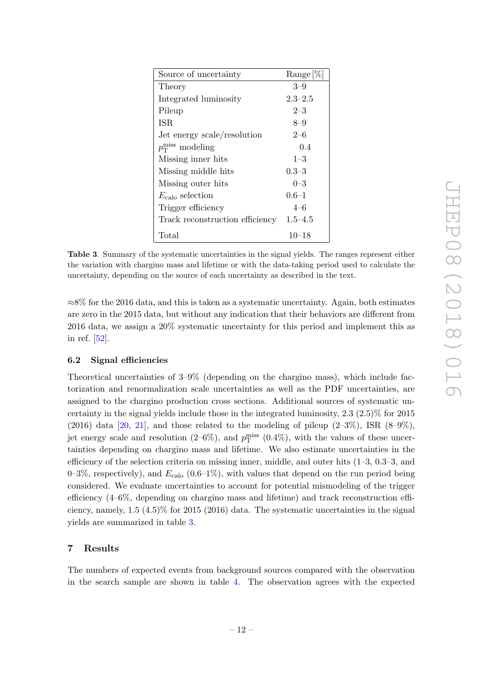| Source of uncertainty           | Range $[\%]$ |
|---------------------------------|--------------|
| Theory                          | $3 - 9$      |
| Integrated luminosity           | $2.3 - 2.5$  |
| Pileup                          | $2 - 3$      |
| ISR.                            | 8–9          |
| Jet energy scale/resolution     | $2 - 6$      |
| $p_T^{\text{miss}}$ modeling    | 0.4          |
| Missing inner hits              | $1 - 3$      |
| Missing middle hits             | $0.3 - 3$    |
| Missing outer hits              | $0 - 3$      |
| $E_{\rm calo}$ selection        | $0.6 - 1$    |
| Trigger efficiency              | $4 - 6$      |
| Track reconstruction efficiency | $1.5 - 4.5$  |
| Total                           | 10–18        |

<span id="page-12-2"></span>Table 3. Summary of the systematic uncertainties in the signal yields. The ranges represent either the variation with chargino mass and lifetime or with the data-taking period used to calculate the uncertainty, depending on the source of each uncertainty as described in the text.

 $\approx 8\%$  for the 2016 data, and this is taken as a systematic uncertainty. Again, both estimates are zero in the 2015 data, but without any indication that their behaviors are different from 2016 data, we assign a 20% systematic uncertainty for this period and implement this as in ref. [\[52\]](#page-20-3).

# <span id="page-12-0"></span>6.2 Signal efficiencies

Theoretical uncertainties of 3–9% (depending on the chargino mass), which include factorization and renormalization scale uncertainties as well as the PDF uncertainties, are assigned to the chargino production cross sections. Additional sources of systematic uncertainty in the signal yields include those in the integrated luminosity, 2.3 (2.5)% for 2015  $(2016)$  data [\[20,](#page-18-8) [21\]](#page-18-9), and those related to the modeling of pileup  $(2-3\%)$ , ISR  $(8-9\%)$ , jet energy scale and resolution  $(2-6\%)$ , and  $p_T^{\text{miss}}$   $(0.4\%)$ , with the values of these uncertainties depending on chargino mass and lifetime. We also estimate uncertainties in the efficiency of the selection criteria on missing inner, middle, and outer hits (1–3, 0.3–3, and 0–3%, respectively), and  $E_{\text{calo}}$  (0.6–1%), with values that depend on the run period being considered. We evaluate uncertainties to account for potential mismodeling of the trigger efficiency (4–6%, depending on chargino mass and lifetime) and track reconstruction efficiency, namely,  $1.5 \ (4.5)\%$  for  $2015 \ (2016)$  data. The systematic uncertainties in the signal yields are summarized in table [3.](#page-12-2)

### <span id="page-12-1"></span>7 Results

The numbers of expected events from background sources compared with the observation in the search sample are shown in table [4.](#page-13-1) The observation agrees with the expected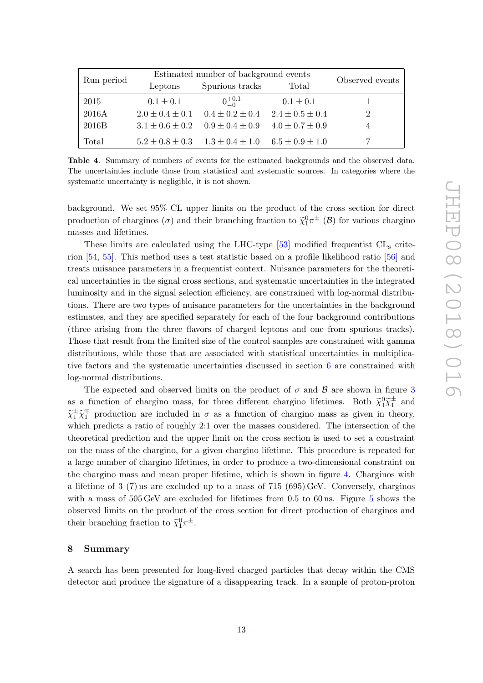|            | Estimated number of background events |                                                                   |                       | Observed events |
|------------|---------------------------------------|-------------------------------------------------------------------|-----------------------|-----------------|
| Run period | Leptons                               | Spurious tracks                                                   | Total                 |                 |
| 2015       | $0.1 \pm 0.1$                         | $0^{+0.1}_{0}$                                                    | $0.1 \pm 0.1$         |                 |
| 2016A      |                                       | $2.0 \pm 0.4 \pm 0.1$ $0.4 \pm 0.2 \pm 0.4$                       | $2.4 \pm 0.5 \pm 0.4$ |                 |
| 2016B      | $3.1 \pm 0.6 \pm 0.2$                 | $0.9 \pm 0.4 \pm 0.9$                                             | $4.0 \pm 0.7 \pm 0.9$ |                 |
| Total      |                                       | $5.2 \pm 0.8 \pm 0.3$ $1.3 \pm 0.4 \pm 1.0$ $6.5 \pm 0.9 \pm 1.0$ |                       |                 |

<span id="page-13-1"></span>Table 4. Summary of numbers of events for the estimated backgrounds and the observed data. The uncertainties include those from statistical and systematic sources. In categories where the systematic uncertainty is negligible, it is not shown.

background. We set 95% CL upper limits on the product of the cross section for direct production of charginos  $(\sigma)$  and their branching fraction to  $\tilde{\chi}^0_1 \pi^{\pm}$  ( $\mathcal{B}$ ) for various chargino masses and lifetimes.

These limits are calculated using the LHC-type [\[53\]](#page-20-4) modified frequentist  $CL<sub>s</sub>$  criterion [\[54,](#page-20-5) [55\]](#page-20-6). This method uses a test statistic based on a profile likelihood ratio [\[56\]](#page-20-7) and treats nuisance parameters in a frequentist context. Nuisance parameters for the theoretical uncertainties in the signal cross sections, and systematic uncertainties in the integrated luminosity and in the signal selection efficiency, are constrained with log-normal distributions. There are two types of nuisance parameters for the uncertainties in the background estimates, and they are specified separately for each of the four background contributions (three arising from the three flavors of charged leptons and one from spurious tracks). Those that result from the limited size of the control samples are constrained with gamma distributions, while those that are associated with statistical uncertainties in multiplicative factors and the systematic uncertainties discussed in section [6](#page-10-1) are constrained with log-normal distributions.

The expected and observed limits on the product of  $\sigma$  and  $\beta$  are shown in figure [3](#page-14-0) as a function of chargino mass, for three different chargino lifetimes. Both  $\tilde{\chi}_1^0 \tilde{\chi}_1^{\pm}$  and  $\sim \pm \sim \pm$  $\tilde{\chi}_1^{\pm} \tilde{\chi}_1^{\mp}$  production are included in  $\sigma$  as a function of chargino mass as given in theory, which predicts a ratio of roughly 2:1 over the masses considered. The intersection of the theoretical prediction and the upper limit on the cross section is used to set a constraint on the mass of the chargino, for a given chargino lifetime. This procedure is repeated for a large number of chargino lifetimes, in order to produce a two-dimensional constraint on the chargino mass and mean proper lifetime, which is shown in figure [4.](#page-15-0) Charginos with a lifetime of 3 (7) ns are excluded up to a mass of 715 (695) GeV. Conversely, charginos with a mass of [5](#page-15-1)05 GeV are excluded for lifetimes from 0.5 to 60 ns. Figure 5 shows the observed limits on the product of the cross section for direct production of charginos and their branching fraction to  $\tilde{\chi}_1^0 \pi^{\pm}$ .

### <span id="page-13-0"></span>8 Summary

A search has been presented for long-lived charged particles that decay within the CMS detector and produce the signature of a disappearing track. In a sample of proton-proton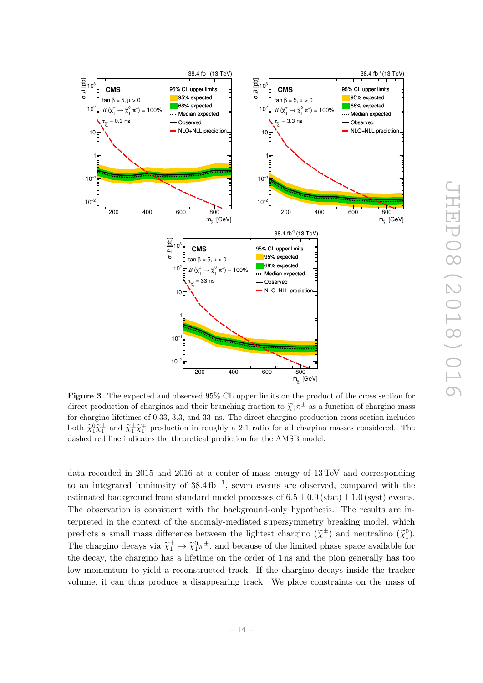



<span id="page-14-0"></span>Figure 3. The expected and observed 95% CL upper limits on the product of the cross section for direct production of charginos and their branching fraction to  $\tilde{\chi}_1^0 \pi^{\pm}$  as a function of chargino mass for chargino lifetimes of 0.33, 3.3, and 33 ns. The direct chargino production cross section includes both  $\tilde{\chi}_1^0 \tilde{\chi}_1^{\pm}$  and  $\tilde{\chi}_1^{\pm} \tilde{\chi}_1^{\mp}$  production in roughly a 2:1 ratio for all chargino masses considered. The dashed red line indicates the theoretical prediction for the AMSB model.

data recorded in 2015 and 2016 at a center-of-mass energy of 13 TeV and corresponding to an integrated luminosity of  $38.4 \text{ fb}^{-1}$ , seven events are observed, compared with the estimated background from standard model processes of  $6.5 \pm 0.9$  (stat)  $\pm 1.0$  (syst) events. The observation is consistent with the background-only hypothesis. The results are interpreted in the context of the anomaly-mediated supersymmetry breaking model, which predicts a small mass difference between the lightest chargino  $(\tilde{\chi}_1^{\pm})$  and neutralino  $(\tilde{\chi}_1^0)$ . The chargino decays via  $\tilde{\chi}_1^{\pm} \to \tilde{\chi}_1^0 \pi^{\pm}$ , and because of the limited phase space available for the decay, the chargino has a lifetime on the order of 1 ns and the pion generally has too low momentum to yield a reconstructed track. If the chargino decays inside the tracker volume, it can thus produce a disappearing track. We place constraints on the mass of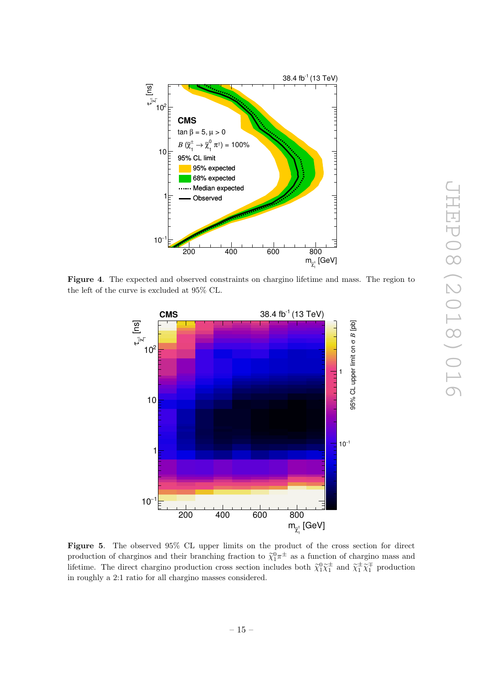

Figure 4. The expected and observed constraints on chargino lifetime and mass. The region to the left of the curve is excluded at 95% CL.

<span id="page-15-0"></span>

<span id="page-15-1"></span>Figure 5. The observed 95% CL upper limits on the product of the cross section for direct production of charginos and their branching fraction to  $\tilde{\chi}_1^0 \pi^{\pm}$  as a function of chargino mass and<br>lifetime. The direct charging are hertics area excting includes heth  $\tilde{\chi}_2^0 \tilde{\chi}_{\pm}^{\pm}$  and  $\tilde{\chi}_{\pm}^{\pm}$ lifetime. The direct chargino production cross section includes both  $\tilde{\chi}_1^0 \tilde{\chi}_1^{\pm}$  and  $\tilde{\chi}_1^{\pm} \tilde{\chi}_1^{\mp}$  production<br>is appelled a 2.4 matic for all charging masses servidents in roughly a 2:1 ratio for all chargino masses considered.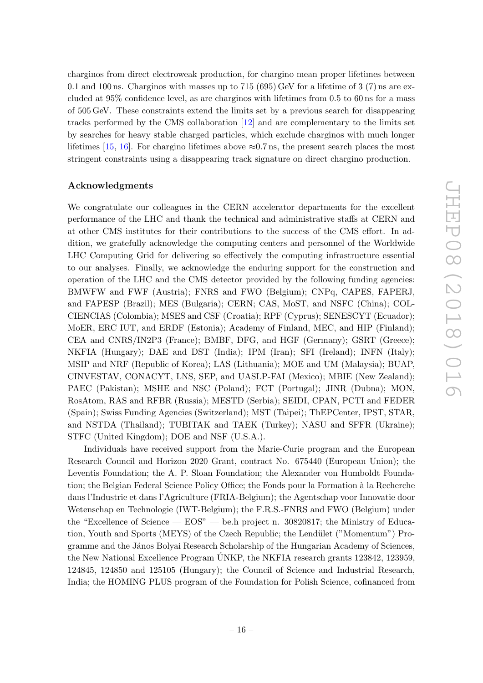charginos from direct electroweak production, for chargino mean proper lifetimes between 0.1 and 100 ns. Charginos with masses up to 715 (695) GeV for a lifetime of 3 (7) ns are excluded at 95% confidence level, as are charginos with lifetimes from 0.5 to 60 ns for a mass of 505 GeV. These constraints extend the limits set by a previous search for disappearing tracks performed by the CMS collaboration [\[12\]](#page-18-0) and are complementary to the limits set by searches for heavy stable charged particles, which exclude charginos with much longer lifetimes [\[15,](#page-18-3) [16\]](#page-18-4). For chargino lifetimes above  $\approx 0.7$  ns, the present search places the most stringent constraints using a disappearing track signature on direct chargino production.

### Acknowledgments

We congratulate our colleagues in the CERN accelerator departments for the excellent performance of the LHC and thank the technical and administrative staffs at CERN and at other CMS institutes for their contributions to the success of the CMS effort. In addition, we gratefully acknowledge the computing centers and personnel of the Worldwide LHC Computing Grid for delivering so effectively the computing infrastructure essential to our analyses. Finally, we acknowledge the enduring support for the construction and operation of the LHC and the CMS detector provided by the following funding agencies: BMWFW and FWF (Austria); FNRS and FWO (Belgium); CNPq, CAPES, FAPERJ, and FAPESP (Brazil); MES (Bulgaria); CERN; CAS, MoST, and NSFC (China); COL-CIENCIAS (Colombia); MSES and CSF (Croatia); RPF (Cyprus); SENESCYT (Ecuador); MoER, ERC IUT, and ERDF (Estonia); Academy of Finland, MEC, and HIP (Finland); CEA and CNRS/IN2P3 (France); BMBF, DFG, and HGF (Germany); GSRT (Greece); NKFIA (Hungary); DAE and DST (India); IPM (Iran); SFI (Ireland); INFN (Italy); MSIP and NRF (Republic of Korea); LAS (Lithuania); MOE and UM (Malaysia); BUAP, CINVESTAV, CONACYT, LNS, SEP, and UASLP-FAI (Mexico); MBIE (New Zealand); PAEC (Pakistan); MSHE and NSC (Poland); FCT (Portugal); JINR (Dubna); MON, RosAtom, RAS and RFBR (Russia); MESTD (Serbia); SEIDI, CPAN, PCTI and FEDER (Spain); Swiss Funding Agencies (Switzerland); MST (Taipei); ThEPCenter, IPST, STAR, and NSTDA (Thailand); TUBITAK and TAEK (Turkey); NASU and SFFR (Ukraine); STFC (United Kingdom); DOE and NSF (U.S.A.).

Individuals have received support from the Marie-Curie program and the European Research Council and Horizon 2020 Grant, contract No. 675440 (European Union); the Leventis Foundation; the A. P. Sloan Foundation; the Alexander von Humboldt Foundation; the Belgian Federal Science Policy Office; the Fonds pour la Formation à la Recherche dans l'Industrie et dans l'Agriculture (FRIA-Belgium); the Agentschap voor Innovatie door Wetenschap en Technologie (IWT-Belgium); the F.R.S.-FNRS and FWO (Belgium) under the "Excellence of Science — EOS" — be.h project n. 30820817; the Ministry of Education, Youth and Sports (MEYS) of the Czech Republic; the Lend¨ulet ("Momentum") Programme and the János Bolyai Research Scholarship of the Hungarian Academy of Sciences, the New National Excellence Program UNKP, the NKFIA research grants 123842, 123959, ´ 124845, 124850 and 125105 (Hungary); the Council of Science and Industrial Research, India; the HOMING PLUS program of the Foundation for Polish Science, cofinanced from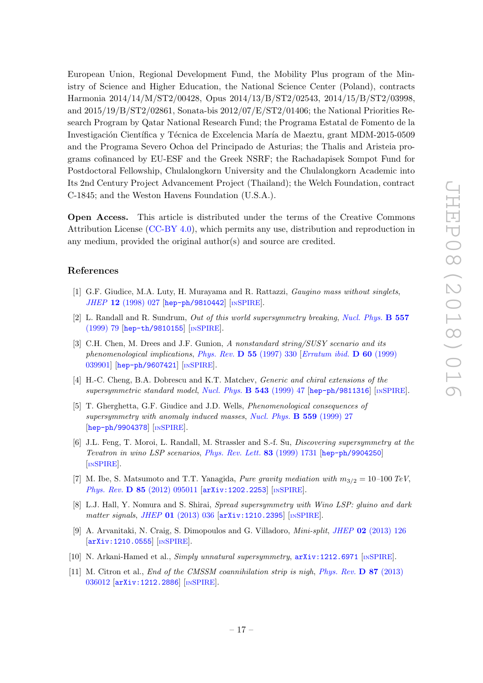European Union, Regional Development Fund, the Mobility Plus program of the Ministry of Science and Higher Education, the National Science Center (Poland), contracts Harmonia 2014/14/M/ST2/00428, Opus 2014/13/B/ST2/02543, 2014/15/B/ST2/03998, and 2015/19/B/ST2/02861, Sonata-bis 2012/07/E/ST2/01406; the National Priorities Research Program by Qatar National Research Fund; the Programa Estatal de Fomento de la Investigación Científica y Técnica de Excelencia María de Maeztu, grant MDM-2015-0509 and the Programa Severo Ochoa del Principado de Asturias; the Thalis and Aristeia programs cofinanced by EU-ESF and the Greek NSRF; the Rachadapisek Sompot Fund for Postdoctoral Fellowship, Chulalongkorn University and the Chulalongkorn Academic into Its 2nd Century Project Advancement Project (Thailand); the Welch Foundation, contract C-1845; and the Weston Havens Foundation (U.S.A.).

Open Access. This article is distributed under the terms of the Creative Commons Attribution License [\(CC-BY 4.0\)](https://creativecommons.org/licenses/by/4.0/), which permits any use, distribution and reproduction in any medium, provided the original author(s) and source are credited.

# References

- <span id="page-17-0"></span>[1] G.F. Giudice, M.A. Luty, H. Murayama and R. Rattazzi, Gaugino mass without singlets, JHEP 12 [\(1998\) 027](https://doi.org/10.1088/1126-6708/1998/12/027) [[hep-ph/9810442](https://arxiv.org/abs/hep-ph/9810442)] [IN[SPIRE](https://inspirehep.net/search?p=find+EPRINT+hep-ph/9810442)].
- <span id="page-17-1"></span>[2] L. Randall and R. Sundrum, Out of this world supersymmetry breaking, [Nucl. Phys.](https://doi.org/10.1016/S0550-3213(99)00359-4) B 557 [\(1999\) 79](https://doi.org/10.1016/S0550-3213(99)00359-4) [[hep-th/9810155](https://arxiv.org/abs/hep-th/9810155)] [IN[SPIRE](https://inspirehep.net/search?p=find+EPRINT+hep-th/9810155)].
- <span id="page-17-2"></span>[3] C.H. Chen, M. Drees and J.F. Gunion, A nonstandard string/SUSY scenario and its phenomenological implications, [Phys. Rev.](https://doi.org/10.1103/PhysRevD.55.330) D 55 (1997) 330 [[Erratum ibid.](https://doi.org/10.1103/PhysRevD.60.039901) D 60 (1999) 039901 [[hep-ph/9607421](https://arxiv.org/abs/hep-ph/9607421)] [IN[SPIRE](https://inspirehep.net/search?p=find+EPRINT+hep-ph/9607421)].
- [4] H.-C. Cheng, B.A. Dobrescu and K.T. Matchev, Generic and chiral extensions of the supersymmetric standard model, [Nucl. Phys.](https://doi.org/10.1016/S0550-3213(99)00012-7) B 543 (1999) 47 [[hep-ph/9811316](https://arxiv.org/abs/hep-ph/9811316)] [IN[SPIRE](https://inspirehep.net/search?p=find+EPRINT+hep-ph/9811316)].
- [5] T. Gherghetta, G.F. Giudice and J.D. Wells, Phenomenological consequences of supersymmetry with anomaly induced masses, [Nucl. Phys.](https://doi.org/10.1016/S0550-3213(99)00429-0) **B 559** (1999) 27 [[hep-ph/9904378](https://arxiv.org/abs/hep-ph/9904378)] [IN[SPIRE](https://inspirehep.net/search?p=find+EPRINT+hep-ph/9904378)].
- <span id="page-17-3"></span>[6] J.L. Feng, T. Moroi, L. Randall, M. Strassler and S.-f. Su, Discovering supersymmetry at the Tevatron in wino LSP scenarios, [Phys. Rev. Lett.](https://doi.org/10.1103/PhysRevLett.83.1731) 83 (1999) 1731 [[hep-ph/9904250](https://arxiv.org/abs/hep-ph/9904250)] [IN[SPIRE](https://inspirehep.net/search?p=find+EPRINT+hep-ph/9904250)].
- <span id="page-17-4"></span>[7] M. Ibe, S. Matsumoto and T.T. Yanagida, Pure gravity mediation with  $m_{3/2} = 10$ –100 TeV, Phys. Rev. D 85 [\(2012\) 095011](https://doi.org/10.1103/PhysRevD.85.095011) [[arXiv:1202.2253](https://arxiv.org/abs/1202.2253)] [IN[SPIRE](https://inspirehep.net/search?p=find+EPRINT+arXiv:1202.2253)].
- [8] L.J. Hall, Y. Nomura and S. Shirai, Spread supersymmetry with Wino LSP: gluino and dark matter signals, JHEP 01 [\(2013\) 036](https://doi.org/10.1007/JHEP01(2013)036) [[arXiv:1210.2395](https://arxiv.org/abs/1210.2395)] [IN[SPIRE](https://inspirehep.net/search?p=find+EPRINT+arXiv:1210.2395)].
- [9] A. Arvanitaki, N. Craig, S. Dimopoulos and G. Villadoro, Mini-split, JHEP 02 [\(2013\) 126](https://doi.org/10.1007/JHEP02(2013)126) [[arXiv:1210.0555](https://arxiv.org/abs/1210.0555)] [IN[SPIRE](https://inspirehep.net/search?p=find+EPRINT+arXiv:1210.0555)].
- [10] N. Arkani-Hamed et al., Simply unnatural supersymmetry,  $arXiv:1212.6971$  [IN[SPIRE](https://inspirehep.net/search?p=find+EPRINT+arXiv:1212.6971)].
- <span id="page-17-5"></span>[11] M. Citron et al., *End of the CMSSM coannihilation strip is nigh, [Phys. Rev.](https://doi.org/10.1103/PhysRevD.87.036012)* **D 87** (2013) [036012](https://doi.org/10.1103/PhysRevD.87.036012) [[arXiv:1212.2886](https://arxiv.org/abs/1212.2886)] [IN[SPIRE](https://inspirehep.net/search?p=find+EPRINT+arXiv:1212.2886)].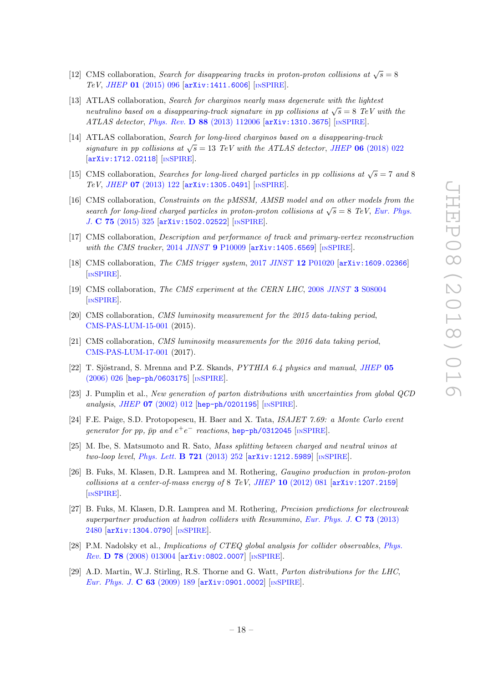- <span id="page-18-0"></span>[12] CMS collaboration, Search for disappearing tracks in proton-proton collisions at  $\sqrt{s} = 8$ TeV, JHEP 01 [\(2015\) 096](https://doi.org/10.1007/JHEP01(2015)096) [[arXiv:1411.6006](https://arxiv.org/abs/1411.6006)] [IN[SPIRE](https://inspirehep.net/search?p=find+EPRINT+arXiv:1411.6006)].
- <span id="page-18-1"></span>[13] ATLAS collaboration, Search for charginos nearly mass degenerate with the lightest neutralino based on a disappearing-track signature in pp collisions at  $\sqrt{s} = 8$  TeV with the ATLAS detector, Phys. Rev. D 88 [\(2013\) 112006](https://doi.org/10.1103/PhysRevD.88.112006) [[arXiv:1310.3675](https://arxiv.org/abs/1310.3675)] [IN[SPIRE](https://inspirehep.net/search?p=find+EPRINT+arXiv:1310.3675)].
- <span id="page-18-2"></span>[14] ATLAS collaboration, Search for long-lived charginos based on a disappearing-track signature in pp collisions at  $\sqrt{s} = 13$  TeV with the ATLAS detector, JHEP 06 [\(2018\) 022](https://doi.org/10.1007/JHEP06(2018)022) [[arXiv:1712.02118](https://arxiv.org/abs/1712.02118)] [IN[SPIRE](https://inspirehep.net/search?p=find+EPRINT+arXiv:1712.02118)].
- <span id="page-18-3"></span>[15] CMS collaboration, *Searches for long-lived charged particles in pp collisions at*  $\sqrt{s} = 7$  and 8 TeV, JHEP 07 [\(2013\) 122](https://doi.org/10.1007/JHEP07(2013)122) [[arXiv:1305.0491](https://arxiv.org/abs/1305.0491)] [IN[SPIRE](https://inspirehep.net/search?p=find+EPRINT+arXiv:1305.0491)].
- <span id="page-18-4"></span>[16] CMS collaboration, Constraints on the pMSSM, AMSB model and on other models from the search for long-lived charged particles in proton-proton collisions at  $\sqrt{s} = 8$  TeV, [Eur. Phys.](https://doi.org/10.1140/epjc/s10052-015-3533-3) J. C 75 [\(2015\) 325](https://doi.org/10.1140/epjc/s10052-015-3533-3) [[arXiv:1502.02522](https://arxiv.org/abs/1502.02522)] [IN[SPIRE](https://inspirehep.net/search?p=find+EPRINT+arXiv:1502.02522)].
- <span id="page-18-5"></span>[17] CMS collaboration, Description and performance of track and primary-vertex reconstruction with the CMS tracker,  $2014$  JINST 9 [P10009](https://doi.org/10.1088/1748-0221/9/10/P10009)  $arXiv:1405.6569$  [IN[SPIRE](https://inspirehep.net/search?p=find+EPRINT+arXiv:1405.6569)].
- <span id="page-18-6"></span>[18] CMS collaboration, The CMS trigger system, 2017 JINST 12 [P01020](https://doi.org/10.1088/1748-0221/12/01/P01020) [[arXiv:1609.02366](https://arxiv.org/abs/1609.02366)] [IN[SPIRE](https://inspirehep.net/search?p=find+EPRINT+arXiv:1609.02366)].
- <span id="page-18-7"></span>[19] CMS collaboration, The CMS experiment at the CERN LHC, 2008 JINST 3 [S08004](https://doi.org/10.1088/1748-0221/3/08/S08004) [IN[SPIRE](https://inspirehep.net/search?p=find+J+%22JINST,3,S08004%22)].
- <span id="page-18-8"></span>[20] CMS collaboration, CMS luminosity measurement for the 2015 data-taking period, [CMS-PAS-LUM-15-001](http://cds.cern.ch/record/2138682) (2015).
- <span id="page-18-9"></span>[21] CMS collaboration, *CMS luminosity measurements for the 2016 data taking period*, [CMS-PAS-LUM-17-001](http://cds.cern.ch/record/2257069) (2017).
- <span id="page-18-10"></span>[22] T. Sjöstrand, S. Mrenna and P.Z. Skands,  $PYTHIA$  6.4 physics and manual, [JHEP](https://doi.org/10.1088/1126-6708/2006/05/026) 05 [\(2006\) 026](https://doi.org/10.1088/1126-6708/2006/05/026) [[hep-ph/0603175](https://arxiv.org/abs/hep-ph/0603175)] [IN[SPIRE](https://inspirehep.net/search?p=find+EPRINT+hep-ph/0603175)].
- <span id="page-18-11"></span>[23] J. Pumplin et al., New generation of parton distributions with uncertainties from global QCD analysis, JHEP 07 [\(2002\) 012](https://doi.org/10.1088/1126-6708/2002/07/012) [[hep-ph/0201195](https://arxiv.org/abs/hep-ph/0201195)] [IN[SPIRE](https://inspirehep.net/search?p=find+EPRINT+hep-ph/0201195)].
- <span id="page-18-12"></span>[24] F.E. Paige, S.D. Protopopescu, H. Baer and X. Tata, ISAJET 7.69: a Monte Carlo event generator for pp,  $\bar{p}p$  and  $e^+e^-$  reactions, [hep-ph/0312045](https://arxiv.org/abs/hep-ph/0312045) [IN[SPIRE](https://inspirehep.net/search?p=find+EPRINT+hep-ph/0312045)].
- <span id="page-18-13"></span>[25] M. Ibe, S. Matsumoto and R. Sato, Mass splitting between charged and neutral winos at two-loop level, [Phys. Lett.](https://doi.org/10.1016/j.physletb.2013.03.015) **B 721** (2013) 252 [[arXiv:1212.5989](https://arxiv.org/abs/1212.5989)] [IN[SPIRE](https://inspirehep.net/search?p=find+EPRINT+arXiv:1212.5989)].
- <span id="page-18-14"></span>[26] B. Fuks, M. Klasen, D.R. Lamprea and M. Rothering, Gaugino production in proton-proton  $collisions$  at a center-of-mass energy of 8 TeV, JHEP 10 [\(2012\) 081](https://doi.org/10.1007/JHEP10(2012)081) [[arXiv:1207.2159](https://arxiv.org/abs/1207.2159)] [IN[SPIRE](https://inspirehep.net/search?p=find+EPRINT+arXiv:1207.2159)].
- <span id="page-18-15"></span>[27] B. Fuks, M. Klasen, D.R. Lamprea and M. Rothering, Precision predictions for electroweak superpartner production at hadron colliders with Resummino, [Eur. Phys. J.](https://doi.org/10.1140/epjc/s10052-013-2480-0) C 73 (2013) [2480](https://doi.org/10.1140/epjc/s10052-013-2480-0) [[arXiv:1304.0790](https://arxiv.org/abs/1304.0790)] [IN[SPIRE](https://inspirehep.net/search?p=find+EPRINT+arXiv:1304.0790)].
- <span id="page-18-16"></span>[28] P.M. Nadolsky et al., *Implications of CTEQ global analysis for collider observables, [Phys.](https://doi.org/10.1103/PhysRevD.78.013004)* Rev. D 78 [\(2008\) 013004](https://doi.org/10.1103/PhysRevD.78.013004) [[arXiv:0802.0007](https://arxiv.org/abs/0802.0007)] [IN[SPIRE](https://inspirehep.net/search?p=find+EPRINT+arXiv:0802.0007)].
- <span id="page-18-17"></span>[29] A.D. Martin, W.J. Stirling, R.S. Thorne and G. Watt, Parton distributions for the LHC, [Eur. Phys. J.](https://doi.org/10.1140/epjc/s10052-009-1072-5) C  $63$  (2009) 189  $\text{arXiv:}$ 0901.0002  $\text{InSPIRE}$  $\text{InSPIRE}$  $\text{InSPIRE}$ .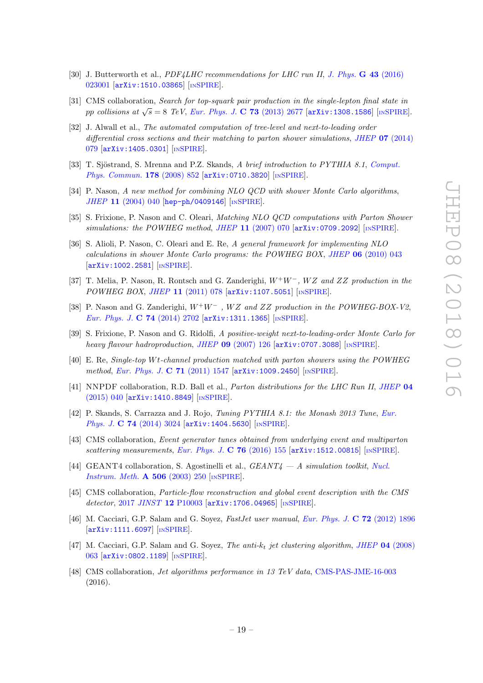- <span id="page-19-0"></span>[30] J. Butterworth et al., *PDF4LHC recommendations for LHC run II, [J. Phys.](https://doi.org/10.1088/0954-3899/43/2/023001)* **G 43** (2016) [023001](https://doi.org/10.1088/0954-3899/43/2/023001) [[arXiv:1510.03865](https://arxiv.org/abs/1510.03865)] [IN[SPIRE](https://inspirehep.net/search?p=find+EPRINT+arXiv:1510.03865)].
- <span id="page-19-1"></span>[31] CMS collaboration, Search for top-squark pair production in the single-lepton final state in pp collisions at  $\sqrt{s} = 8$  TeV, [Eur. Phys. J.](https://doi.org/10.1140/epjc/s10052-013-2677-2) C 73 (2013) 2677 [[arXiv:1308.1586](https://arxiv.org/abs/1308.1586)] [IN[SPIRE](https://inspirehep.net/search?p=find+EPRINT+arXiv:1308.1586)].
- <span id="page-19-2"></span>[32] J. Alwall et al., The automated computation of tree-level and next-to-leading order differential cross sections and their matching to parton shower simulations, JHEP 07 [\(2014\)](https://doi.org/10.1007/JHEP07(2014)079) [079](https://doi.org/10.1007/JHEP07(2014)079) [[arXiv:1405.0301](https://arxiv.org/abs/1405.0301)] [IN[SPIRE](https://inspirehep.net/search?p=find+EPRINT+arXiv:1405.0301)].
- <span id="page-19-3"></span>[33] T. Sjöstrand, S. Mrenna and P.Z. Skands, A brief introduction to PYTHIA 8.1, [Comput.](https://doi.org/10.1016/j.cpc.2008.01.036) [Phys. Commun.](https://doi.org/10.1016/j.cpc.2008.01.036) 178 (2008) 852 [[arXiv:0710.3820](https://arxiv.org/abs/0710.3820)] [IN[SPIRE](https://inspirehep.net/search?p=find+EPRINT+arXiv:0710.3820)].
- <span id="page-19-4"></span>[34] P. Nason, A new method for combining NLO QCD with shower Monte Carlo algorithms, JHEP 11 [\(2004\) 040](https://doi.org/10.1088/1126-6708/2004/11/040) [[hep-ph/0409146](https://arxiv.org/abs/hep-ph/0409146)] [IN[SPIRE](https://inspirehep.net/search?p=find+EPRINT+hep-ph/0409146)].
- [35] S. Frixione, P. Nason and C. Oleari, Matching NLO QCD computations with Parton Shower simulations: the POWHEG method, JHEP 11 [\(2007\) 070](https://doi.org/10.1088/1126-6708/2007/11/070)  $\left[$ [arXiv:0709.2092](https://arxiv.org/abs/0709.2092) $\right]$   $\left[$ IN[SPIRE](https://inspirehep.net/search?p=find+EPRINT+arXiv:0709.2092) $\right]$ .
- [36] S. Alioli, P. Nason, C. Oleari and E. Re, A general framework for implementing NLO calculations in shower Monte Carlo programs: the POWHEG BOX, JHEP 06 [\(2010\) 043](https://doi.org/10.1007/JHEP06(2010)043) [[arXiv:1002.2581](https://arxiv.org/abs/1002.2581)] [IN[SPIRE](https://inspirehep.net/search?p=find+EPRINT+arXiv:1002.2581)].
- [37] T. Melia, P. Nason, R. Rontsch and G. Zanderighi,  $W^+W^-$ ,  $WZ$  and ZZ production in the POWHEG BOX, JHEP 11 [\(2011\) 078](https://doi.org/10.1007/JHEP11(2011)078) [[arXiv:1107.5051](https://arxiv.org/abs/1107.5051)] [IN[SPIRE](https://inspirehep.net/search?p=find+EPRINT+arXiv:1107.5051)].
- [38] P. Nason and G. Zanderighi,  $W^+W^-$ ,  $WZ$  and  $ZZ$  production in the POWHEG-BOX-V2, [Eur. Phys. J.](https://doi.org/10.1140/epjc/s10052-013-2702-5) C 74 (2014) 2702 [[arXiv:1311.1365](https://arxiv.org/abs/1311.1365)] [IN[SPIRE](https://inspirehep.net/search?p=find+EPRINT+arXiv:1311.1365)].
- [39] S. Frixione, P. Nason and G. Ridolfi, A positive-weight next-to-leading-order Monte Carlo for heavy flavour hadroproduction, JHEP 09 [\(2007\) 126](https://doi.org/10.1088/1126-6708/2007/09/126) [[arXiv:0707.3088](https://arxiv.org/abs/0707.3088)] [IN[SPIRE](https://inspirehep.net/search?p=find+EPRINT+arXiv:0707.3088)].
- <span id="page-19-5"></span>[40] E. Re, Single-top Wt-channel production matched with parton showers using the POWHEG method, [Eur. Phys. J.](https://doi.org/10.1140/epjc/s10052-011-1547-z) C 71 (2011) 1547 [[arXiv:1009.2450](https://arxiv.org/abs/1009.2450)] [IN[SPIRE](https://inspirehep.net/search?p=find+EPRINT+arXiv:1009.2450)].
- <span id="page-19-6"></span>[41] NNPDF collaboration, R.D. Ball et al., *Parton distributions for the LHC Run II, [JHEP](https://doi.org/10.1007/JHEP04(2015)040)* 04 [\(2015\) 040](https://doi.org/10.1007/JHEP04(2015)040) [[arXiv:1410.8849](https://arxiv.org/abs/1410.8849)] [IN[SPIRE](https://inspirehep.net/search?p=find+EPRINT+arXiv:1410.8849)].
- <span id="page-19-7"></span>[42] P. Skands, S. Carrazza and J. Rojo, Tuning PYTHIA 8.1: the Monash 2013 Tune, [Eur.](https://doi.org/10.1140/epjc/s10052-014-3024-y) Phys. J. C 74 [\(2014\) 3024](https://doi.org/10.1140/epjc/s10052-014-3024-y) [[arXiv:1404.5630](https://arxiv.org/abs/1404.5630)] [IN[SPIRE](https://inspirehep.net/search?p=find+EPRINT+arXiv:1404.5630)].
- <span id="page-19-8"></span>[43] CMS collaboration, Event generator tunes obtained from underlying event and multiparton scattering measurements, [Eur. Phys. J.](https://doi.org/10.1140/epjc/s10052-016-3988-x) C 76 (2016) 155  $\left[\text{arXiv:1512.00815}\right]$  $\left[\text{arXiv:1512.00815}\right]$  $\left[\text{arXiv:1512.00815}\right]$   $\left[\text{INSPIRE}\right]$  $\left[\text{INSPIRE}\right]$  $\left[\text{INSPIRE}\right]$ .
- <span id="page-19-9"></span>[44] GEANT4 collaboration, S. Agostinelli et al.,  $GEANT4 - A$  simulation toolkit, [Nucl.](https://doi.org/10.1016/S0168-9002(03)01368-8) [Instrum. Meth.](https://doi.org/10.1016/S0168-9002(03)01368-8) A 506 (2003) 250 [IN[SPIRE](https://inspirehep.net/search?p=find+J+%22Nucl.Instrum.Meth.,A506,250%22)].
- <span id="page-19-10"></span>[45] CMS collaboration, Particle-flow reconstruction and global event description with the CMS detector, 2017 JINST 12 [P10003](https://doi.org/10.1088/1748-0221/12/10/P10003) [[arXiv:1706.04965](https://arxiv.org/abs/1706.04965)] [IN[SPIRE](https://inspirehep.net/search?p=find+EPRINT+arXiv:1706.04965)].
- <span id="page-19-11"></span>[46] M. Cacciari, G.P. Salam and G. Soyez, FastJet user manual, [Eur. Phys. J.](https://doi.org/10.1140/epjc/s10052-012-1896-2) C 72 (2012) 1896 [[arXiv:1111.6097](https://arxiv.org/abs/1111.6097)] [IN[SPIRE](https://inspirehep.net/search?p=find+EPRINT+arXiv:1111.6097)].
- <span id="page-19-12"></span>[47] M. Cacciari, G.P. Salam and G. Soyez, The anti- $k_t$  jet clustering algorithm, JHEP 04 [\(2008\)](https://doi.org/10.1088/1126-6708/2008/04/063) [063](https://doi.org/10.1088/1126-6708/2008/04/063) [[arXiv:0802.1189](https://arxiv.org/abs/0802.1189)] [IN[SPIRE](https://inspirehep.net/search?p=find+EPRINT+arXiv:0802.1189)].
- <span id="page-19-13"></span>[48] CMS collaboration, Jet algorithms performance in 13 TeV data, [CMS-PAS-JME-16-003](http://cds.cern.ch/record/2256875) (2016).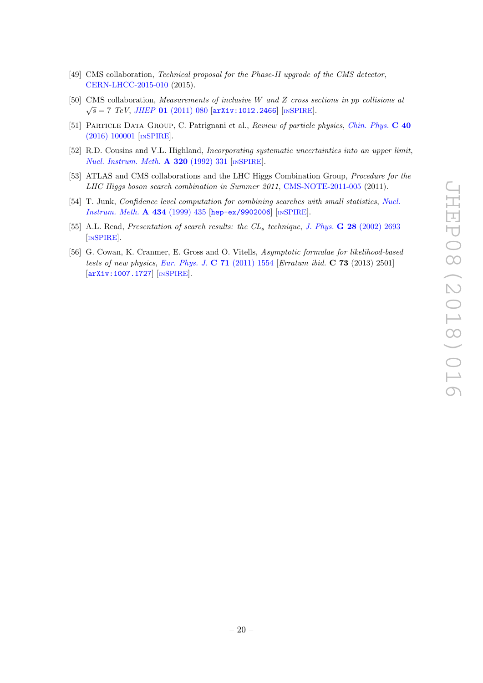- <span id="page-20-0"></span>[49] CMS collaboration, Technical proposal for the Phase-II upgrade of the CMS detector, [CERN-LHCC-2015-010](http://cds.cern.ch/record/2020886) (2015).
- <span id="page-20-1"></span>[50] CMS collaboration, Measurements of inclusive W and Z cross sections in pp collisions at  $\sqrt{s}$  = 7 TeV, JHEP 01 [\(2011\) 080](https://doi.org/10.1007/JHEP01(2011)080) [[arXiv:1012.2466](https://arxiv.org/abs/1012.2466)] [IN[SPIRE](https://inspirehep.net/search?p=find+EPRINT+arXiv:1012.2466)].
- <span id="page-20-2"></span>[51] PARTICLE DATA GROUP, C. Patrignani et al., Review of particle physics, [Chin. Phys.](https://doi.org/10.1088/1674-1137/40/10/100001) C 40 [\(2016\) 100001](https://doi.org/10.1088/1674-1137/40/10/100001) [IN[SPIRE](https://inspirehep.net/search?p=find+J+%22Chin.Phys.,C40,100001%22)].
- <span id="page-20-3"></span>[52] R.D. Cousins and V.L. Highland, *Incorporating systematic uncertainties into an upper limit*, [Nucl. Instrum. Meth.](https://doi.org/10.1016/0168-9002(92)90794-5) **A 320** (1992) 331 [IN[SPIRE](https://inspirehep.net/search?p=find+J+%22Nucl.Instrum.Meth.,A320,331%22)].
- <span id="page-20-4"></span>[53] ATLAS and CMS collaborations and the LHC Higgs Combination Group, Procedure for the LHC Higgs boson search combination in Summer 2011, [CMS-NOTE-2011-005](http://cds.cern.ch/record/1379837) (2011).
- <span id="page-20-5"></span>[54] T. Junk, Confidence level computation for combining searches with small statistics, [Nucl.](https://doi.org/10.1016/S0168-9002(99)00498-2) [Instrum. Meth.](https://doi.org/10.1016/S0168-9002(99)00498-2) A 434 (1999) 435 [[hep-ex/9902006](https://arxiv.org/abs/hep-ex/9902006)] [IN[SPIRE](https://inspirehep.net/search?p=find+EPRINT+hep-ex/9902006)].
- <span id="page-20-6"></span>[55] A.L. Read, Presentation of search results: the  $CL_s$  technique, J. Phys. **G 28** [\(2002\) 2693](https://doi.org/10.1088/0954-3899/28/10/313) [IN[SPIRE](https://inspirehep.net/search?p=find+J+%22J.Phys.,G28,2693%22)].
- <span id="page-20-7"></span>[56] G. Cowan, K. Cranmer, E. Gross and O. Vitells, Asymptotic formulae for likelihood-based tests of new physics, [Eur. Phys. J.](https://doi.org/10.1140/epjc/s10052-011-1554-0) C 71 (2011) 1554 [Erratum ibid. C 73 (2013) 2501] [[arXiv:1007.1727](https://arxiv.org/abs/1007.1727)] [IN[SPIRE](https://inspirehep.net/search?p=find+EPRINT+arXiv:1007.1727)].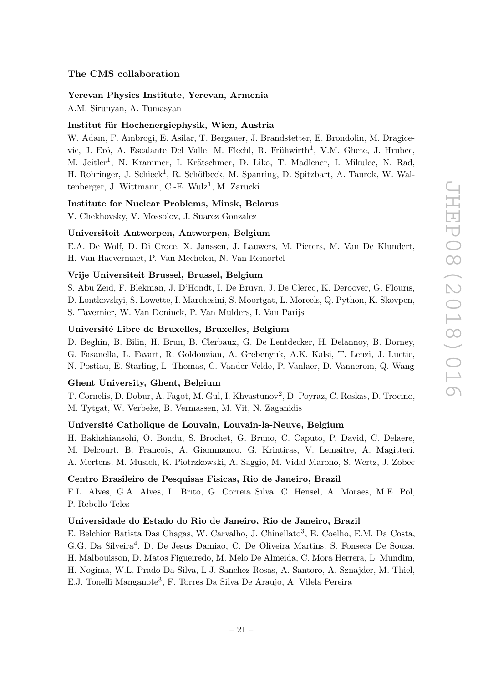### The CMS collaboration

### <span id="page-21-0"></span>Yerevan Physics Institute, Yerevan, Armenia

A.M. Sirunyan, A. Tumasyan

#### Institut für Hochenergiephysik, Wien, Austria

W. Adam, F. Ambrogi, E. Asilar, T. Bergauer, J. Brandstetter, E. Brondolin, M. Dragicevic, J. Erö, A. Escalante Del Valle, M. Flechl, R. Frühwirth<sup>1</sup>, V.M. Ghete, J. Hrubec, M. Jeitler<sup>1</sup>, N. Krammer, I. Krätschmer, D. Liko, T. Madlener, I. Mikulec, N. Rad, H. Rohringer, J. Schieck<sup>1</sup>, R. Schöfbeck, M. Spanring, D. Spitzbart, A. Taurok, W. Waltenberger, J. Wittmann, C.-E. Wulz<sup>1</sup>, M. Zarucki

### Institute for Nuclear Problems, Minsk, Belarus

V. Chekhovsky, V. Mossolov, J. Suarez Gonzalez

#### Universiteit Antwerpen, Antwerpen, Belgium

E.A. De Wolf, D. Di Croce, X. Janssen, J. Lauwers, M. Pieters, M. Van De Klundert, H. Van Haevermaet, P. Van Mechelen, N. Van Remortel

#### Vrije Universiteit Brussel, Brussel, Belgium

S. Abu Zeid, F. Blekman, J. D'Hondt, I. De Bruyn, J. De Clercq, K. Deroover, G. Flouris, D. Lontkovskyi, S. Lowette, I. Marchesini, S. Moortgat, L. Moreels, Q. Python, K. Skovpen, S. Tavernier, W. Van Doninck, P. Van Mulders, I. Van Parijs

#### Universit´e Libre de Bruxelles, Bruxelles, Belgium

D. Beghin, B. Bilin, H. Brun, B. Clerbaux, G. De Lentdecker, H. Delannoy, B. Dorney, G. Fasanella, L. Favart, R. Goldouzian, A. Grebenyuk, A.K. Kalsi, T. Lenzi, J. Luetic,

N. Postiau, E. Starling, L. Thomas, C. Vander Velde, P. Vanlaer, D. Vannerom, Q. Wang

#### Ghent University, Ghent, Belgium

T. Cornelis, D. Dobur, A. Fagot, M. Gul, I. Khvastunov<sup>2</sup>, D. Poyraz, C. Roskas, D. Trocino, M. Tytgat, W. Verbeke, B. Vermassen, M. Vit, N. Zaganidis

#### Université Catholique de Louvain, Louvain-la-Neuve, Belgium

H. Bakhshiansohi, O. Bondu, S. Brochet, G. Bruno, C. Caputo, P. David, C. Delaere, M. Delcourt, B. Francois, A. Giammanco, G. Krintiras, V. Lemaitre, A. Magitteri, A. Mertens, M. Musich, K. Piotrzkowski, A. Saggio, M. Vidal Marono, S. Wertz, J. Zobec

#### Centro Brasileiro de Pesquisas Fisicas, Rio de Janeiro, Brazil

F.L. Alves, G.A. Alves, L. Brito, G. Correia Silva, C. Hensel, A. Moraes, M.E. Pol, P. Rebello Teles

# Universidade do Estado do Rio de Janeiro, Rio de Janeiro, Brazil

E. Belchior Batista Das Chagas, W. Carvalho, J. Chinellato<sup>3</sup>, E. Coelho, E.M. Da Costa, G.G. Da Silveira<sup>4</sup>, D. De Jesus Damiao, C. De Oliveira Martins, S. Fonseca De Souza, H. Malbouisson, D. Matos Figueiredo, M. Melo De Almeida, C. Mora Herrera, L. Mundim, H. Nogima, W.L. Prado Da Silva, L.J. Sanchez Rosas, A. Santoro, A. Sznajder, M. Thiel, E.J. Tonelli Manganote<sup>3</sup>, F. Torres Da Silva De Araujo, A. Vilela Pereira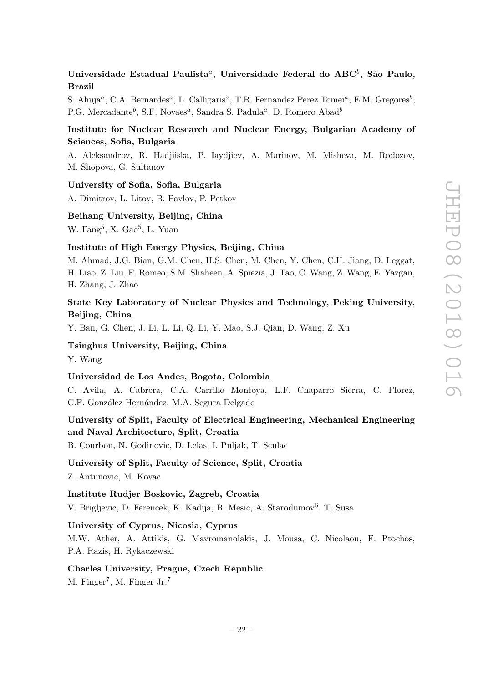# Universidade Estadual Paulista ${}^a,\,$  Universidade Federal do ABC ${}^b,\,$  São Paulo, Brazil

S. Ahuja<sup>a</sup>, C.A. Bernardes<sup>a</sup>, L. Calligaris<sup>a</sup>, T.R. Fernandez Perez Tomei<sup>a</sup>, E.M. Gregores<sup>b</sup>, P.G. Mercadante<sup>b</sup>, S.F. Novaes<sup>a</sup>, Sandra S. Padula<sup>a</sup>, D. Romero Abad<sup>b</sup>

# Institute for Nuclear Research and Nuclear Energy, Bulgarian Academy of Sciences, Sofia, Bulgaria

A. Aleksandrov, R. Hadjiiska, P. Iaydjiev, A. Marinov, M. Misheva, M. Rodozov, M. Shopova, G. Sultanov

#### University of Sofia, Sofia, Bulgaria

A. Dimitrov, L. Litov, B. Pavlov, P. Petkov

# Beihang University, Beijing, China

W. Fang<sup>5</sup>, X. Gao<sup>5</sup>, L. Yuan

# Institute of High Energy Physics, Beijing, China

M. Ahmad, J.G. Bian, G.M. Chen, H.S. Chen, M. Chen, Y. Chen, C.H. Jiang, D. Leggat, H. Liao, Z. Liu, F. Romeo, S.M. Shaheen, A. Spiezia, J. Tao, C. Wang, Z. Wang, E. Yazgan, H. Zhang, J. Zhao

# State Key Laboratory of Nuclear Physics and Technology, Peking University, Beijing, China

Y. Ban, G. Chen, J. Li, L. Li, Q. Li, Y. Mao, S.J. Qian, D. Wang, Z. Xu

Tsinghua University, Beijing, China

Y. Wang

# Universidad de Los Andes, Bogota, Colombia

C. Avila, A. Cabrera, C.A. Carrillo Montoya, L.F. Chaparro Sierra, C. Florez, C.F. González Hernández, M.A. Segura Delgado

# University of Split, Faculty of Electrical Engineering, Mechanical Engineering and Naval Architecture, Split, Croatia

B. Courbon, N. Godinovic, D. Lelas, I. Puljak, T. Sculac

### University of Split, Faculty of Science, Split, Croatia

Z. Antunovic, M. Kovac

# Institute Rudjer Boskovic, Zagreb, Croatia

V. Brigljevic, D. Ferencek, K. Kadija, B. Mesic, A. Starodumov<sup>6</sup>, T. Susa

#### University of Cyprus, Nicosia, Cyprus

M.W. Ather, A. Attikis, G. Mavromanolakis, J. Mousa, C. Nicolaou, F. Ptochos, P.A. Razis, H. Rykaczewski

#### Charles University, Prague, Czech Republic

M. Finger<sup>7</sup>, M. Finger Jr.<sup>7</sup>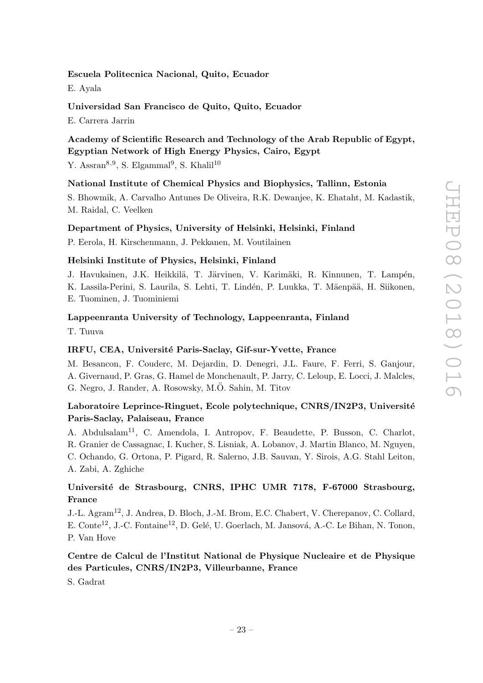### Escuela Politecnica Nacional, Quito, Ecuador

E. Ayala

# Universidad San Francisco de Quito, Quito, Ecuador

E. Carrera Jarrin

# Academy of Scientific Research and Technology of the Arab Republic of Egypt, Egyptian Network of High Energy Physics, Cairo, Egypt

Y. Assran $^{8,9}$ , S. Elgammal<sup>9</sup>, S. Khalil<sup>10</sup>

# National Institute of Chemical Physics and Biophysics, Tallinn, Estonia

S. Bhowmik, A. Carvalho Antunes De Oliveira, R.K. Dewanjee, K. Ehataht, M. Kadastik, M. Raidal, C. Veelken

#### Department of Physics, University of Helsinki, Helsinki, Finland

P. Eerola, H. Kirschenmann, J. Pekkanen, M. Voutilainen

#### Helsinki Institute of Physics, Helsinki, Finland

J. Havukainen, J.K. Heikkilä, T. Järvinen, V. Karimäki, R. Kinnunen, T. Lampén, K. Lassila-Perini, S. Laurila, S. Lehti, T. Lindén, P. Luukka, T. Mäenpää, H. Siikonen, E. Tuominen, J. Tuominiemi

### Lappeenranta University of Technology, Lappeenranta, Finland

T. Tuuva

# IRFU, CEA, Université Paris-Saclay, Gif-sur-Yvette, France

M. Besancon, F. Couderc, M. Dejardin, D. Denegri, J.L. Faure, F. Ferri, S. Ganjour, A. Givernaud, P. Gras, G. Hamel de Monchenault, P. Jarry, C. Leloup, E. Locci, J. Malcles, G. Negro, J. Rander, A. Rosowsky, M.O. Sahin, M. Titov ¨

# Laboratoire Leprince-Ringuet, Ecole polytechnique, CNRS/IN2P3, Université Paris-Saclay, Palaiseau, France

A. Abdulsalam11, C. Amendola, I. Antropov, F. Beaudette, P. Busson, C. Charlot, R. Granier de Cassagnac, I. Kucher, S. Lisniak, A. Lobanov, J. Martin Blanco, M. Nguyen, C. Ochando, G. Ortona, P. Pigard, R. Salerno, J.B. Sauvan, Y. Sirois, A.G. Stahl Leiton, A. Zabi, A. Zghiche

# Universit´e de Strasbourg, CNRS, IPHC UMR 7178, F-67000 Strasbourg, France

J.-L. Agram<sup>12</sup>, J. Andrea, D. Bloch, J.-M. Brom, E.C. Chabert, V. Cherepanov, C. Collard, E. Conte<sup>12</sup>, J.-C. Fontaine<sup>12</sup>, D. Gelé, U. Goerlach, M. Jansová, A.-C. Le Bihan, N. Tonon, P. Van Hove

# Centre de Calcul de l'Institut National de Physique Nucleaire et de Physique des Particules, CNRS/IN2P3, Villeurbanne, France

S. Gadrat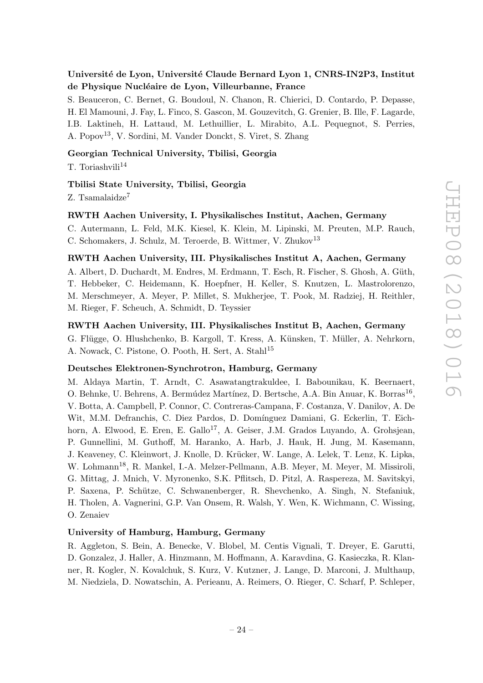# Université de Lyon, Université Claude Bernard Lyon 1, CNRS-IN2P3, Institut de Physique Nucléaire de Lyon, Villeurbanne, France

S. Beauceron, C. Bernet, G. Boudoul, N. Chanon, R. Chierici, D. Contardo, P. Depasse, H. El Mamouni, J. Fay, L. Finco, S. Gascon, M. Gouzevitch, G. Grenier, B. Ille, F. Lagarde, I.B. Laktineh, H. Lattaud, M. Lethuillier, L. Mirabito, A.L. Pequegnot, S. Perries, A. Popov13, V. Sordini, M. Vander Donckt, S. Viret, S. Zhang

# Georgian Technical University, Tbilisi, Georgia

 $T.$  Toriashvili $^{14}$ 

### Tbilisi State University, Tbilisi, Georgia

Z. Tsamalaidze<sup>7</sup>

#### RWTH Aachen University, I. Physikalisches Institut, Aachen, Germany

C. Autermann, L. Feld, M.K. Kiesel, K. Klein, M. Lipinski, M. Preuten, M.P. Rauch, C. Schomakers, J. Schulz, M. Teroerde, B. Wittmer, V. Zhukov<sup>13</sup>

#### RWTH Aachen University, III. Physikalisches Institut A, Aachen, Germany

A. Albert, D. Duchardt, M. Endres, M. Erdmann, T. Esch, R. Fischer, S. Ghosh, A. Güth, T. Hebbeker, C. Heidemann, K. Hoepfner, H. Keller, S. Knutzen, L. Mastrolorenzo, M. Merschmeyer, A. Meyer, P. Millet, S. Mukherjee, T. Pook, M. Radziej, H. Reithler, M. Rieger, F. Scheuch, A. Schmidt, D. Teyssier

### RWTH Aachen University, III. Physikalisches Institut B, Aachen, Germany

G. Flügge, O. Hlushchenko, B. Kargoll, T. Kress, A. Künsken, T. Müller, A. Nehrkorn, A. Nowack, C. Pistone, O. Pooth, H. Sert, A. Stahl<sup>15</sup>

### Deutsches Elektronen-Synchrotron, Hamburg, Germany

M. Aldaya Martin, T. Arndt, C. Asawatangtrakuldee, I. Babounikau, K. Beernaert, O. Behnke, U. Behrens, A. Bermúdez Martínez, D. Bertsche, A.A. Bin Anuar, K. Borras<sup>16</sup>, V. Botta, A. Campbell, P. Connor, C. Contreras-Campana, F. Costanza, V. Danilov, A. De Wit, M.M. Defranchis, C. Diez Pardos, D. Domínguez Damiani, G. Eckerlin, T. Eichhorn, A. Elwood, E. Eren, E. Gallo<sup>17</sup>, A. Geiser, J.M. Grados Luyando, A. Grohsjean, P. Gunnellini, M. Guthoff, M. Haranko, A. Harb, J. Hauk, H. Jung, M. Kasemann, J. Keaveney, C. Kleinwort, J. Knolle, D. Krücker, W. Lange, A. Lelek, T. Lenz, K. Lipka, W. Lohmann18, R. Mankel, I.-A. Melzer-Pellmann, A.B. Meyer, M. Meyer, M. Missiroli, G. Mittag, J. Mnich, V. Myronenko, S.K. Pflitsch, D. Pitzl, A. Raspereza, M. Savitskyi, P. Saxena, P. Schütze, C. Schwanenberger, R. Shevchenko, A. Singh, N. Stefaniuk, H. Tholen, A. Vagnerini, G.P. Van Onsem, R. Walsh, Y. Wen, K. Wichmann, C. Wissing, O. Zenaiev

#### University of Hamburg, Hamburg, Germany

R. Aggleton, S. Bein, A. Benecke, V. Blobel, M. Centis Vignali, T. Dreyer, E. Garutti, D. Gonzalez, J. Haller, A. Hinzmann, M. Hoffmann, A. Karavdina, G. Kasieczka, R. Klanner, R. Kogler, N. Kovalchuk, S. Kurz, V. Kutzner, J. Lange, D. Marconi, J. Multhaup, M. Niedziela, D. Nowatschin, A. Perieanu, A. Reimers, O. Rieger, C. Scharf, P. Schleper,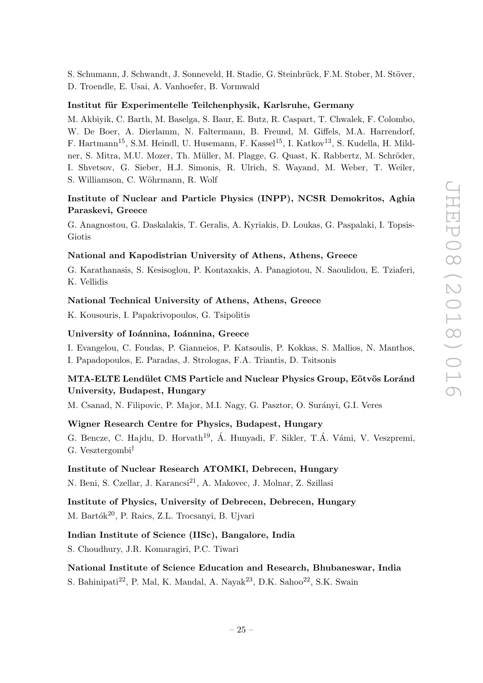S. Schumann, J. Schwandt, J. Sonneveld, H. Stadie, G. Steinbrück, F.M. Stober, M. Stöver, D. Troendle, E. Usai, A. Vanhoefer, B. Vormwald

### Institut für Experimentelle Teilchenphysik, Karlsruhe, Germany

M. Akbiyik, C. Barth, M. Baselga, S. Baur, E. Butz, R. Caspart, T. Chwalek, F. Colombo, W. De Boer, A. Dierlamm, N. Faltermann, B. Freund, M. Giffels, M.A. Harrendorf, F. Hartmann<sup>15</sup>, S.M. Heindl, U. Husemann, F. Kassel<sup>15</sup>, I. Katkov<sup>13</sup>, S. Kudella, H. Mildner, S. Mitra, M.U. Mozer, Th. Müller, M. Plagge, G. Quast, K. Rabbertz, M. Schröder, I. Shvetsov, G. Sieber, H.J. Simonis, R. Ulrich, S. Wayand, M. Weber, T. Weiler, S. Williamson, C. Wöhrmann, R. Wolf

# Institute of Nuclear and Particle Physics (INPP), NCSR Demokritos, Aghia Paraskevi, Greece

G. Anagnostou, G. Daskalakis, T. Geralis, A. Kyriakis, D. Loukas, G. Paspalaki, I. Topsis-Giotis

### National and Kapodistrian University of Athens, Athens, Greece

G. Karathanasis, S. Kesisoglou, P. Kontaxakis, A. Panagiotou, N. Saoulidou, E. Tziaferi, K. Vellidis

### National Technical University of Athens, Athens, Greece

K. Kousouris, I. Papakrivopoulos, G. Tsipolitis

#### University of Ioánnina, Ioánnina, Greece

I. Evangelou, C. Foudas, P. Gianneios, P. Katsoulis, P. Kokkas, S. Mallios, N. Manthos, I. Papadopoulos, E. Paradas, J. Strologas, F.A. Triantis, D. Tsitsonis

# MTA-ELTE Lendület CMS Particle and Nuclear Physics Group, Eötvös Loránd University, Budapest, Hungary

M. Csanad, N. Filipovic, P. Major, M.I. Nagy, G. Pasztor, O. Surányi, G.I. Veres

### Wigner Research Centre for Physics, Budapest, Hungary

G. Bencze, C. Hajdu, D. Horvath<sup>19</sup>, Á. Hunyadi, F. Sikler, T.Á. Vámi, V. Veszpremi, G. Vesztergombi†

# Institute of Nuclear Research ATOMKI, Debrecen, Hungary

N. Beni, S. Czellar, J. Karancsi<sup>21</sup>, A. Makovec, J. Molnar, Z. Szillasi

# Institute of Physics, University of Debrecen, Debrecen, Hungary

M. Bartók<sup>20</sup>, P. Raics, Z.L. Trocsanyi, B. Ujvari

#### Indian Institute of Science (IISc), Bangalore, India

S. Choudhury, J.R. Komaragiri, P.C. Tiwari

### National Institute of Science Education and Research, Bhubaneswar, India

S. Bahinipati<sup>22</sup>, P. Mal, K. Mandal, A. Nayak<sup>23</sup>, D.K. Sahoo<sup>22</sup>, S.K. Swain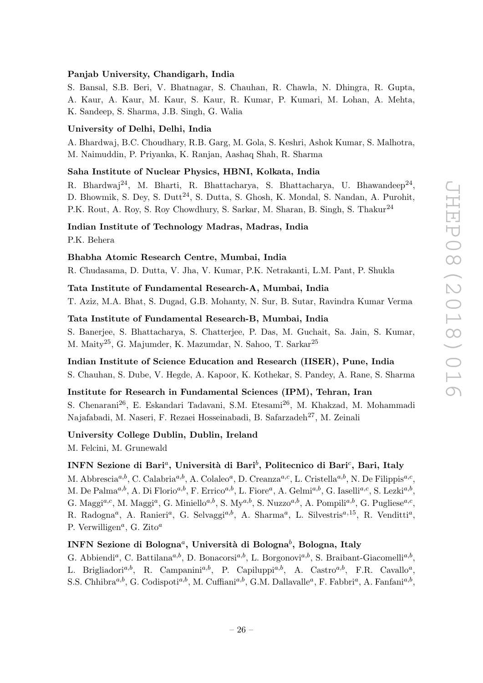### Panjab University, Chandigarh, India

S. Bansal, S.B. Beri, V. Bhatnagar, S. Chauhan, R. Chawla, N. Dhingra, R. Gupta, A. Kaur, A. Kaur, M. Kaur, S. Kaur, R. Kumar, P. Kumari, M. Lohan, A. Mehta, K. Sandeep, S. Sharma, J.B. Singh, G. Walia

#### University of Delhi, Delhi, India

A. Bhardwaj, B.C. Choudhary, R.B. Garg, M. Gola, S. Keshri, Ashok Kumar, S. Malhotra, M. Naimuddin, P. Priyanka, K. Ranjan, Aashaq Shah, R. Sharma

### Saha Institute of Nuclear Physics, HBNI, Kolkata, India

R. Bhardwaj<sup>24</sup>, M. Bharti, R. Bhattacharya, S. Bhattacharya, U. Bhawandeep<sup>24</sup>, D. Bhowmik, S. Dey, S. Dutt<sup>24</sup>, S. Dutta, S. Ghosh, K. Mondal, S. Nandan, A. Purohit, P.K. Rout, A. Roy, S. Roy Chowdhury, S. Sarkar, M. Sharan, B. Singh, S. Thakur<sup>24</sup>

# Indian Institute of Technology Madras, Madras, India

P.K. Behera

### Bhabha Atomic Research Centre, Mumbai, India

R. Chudasama, D. Dutta, V. Jha, V. Kumar, P.K. Netrakanti, L.M. Pant, P. Shukla

### Tata Institute of Fundamental Research-A, Mumbai, India

T. Aziz, M.A. Bhat, S. Dugad, G.B. Mohanty, N. Sur, B. Sutar, Ravindra Kumar Verma

# Tata Institute of Fundamental Research-B, Mumbai, India

S. Banerjee, S. Bhattacharya, S. Chatterjee, P. Das, M. Guchait, Sa. Jain, S. Kumar, M. Maity25, G. Majumder, K. Mazumdar, N. Sahoo, T. Sarkar<sup>25</sup>

#### Indian Institute of Science Education and Research (IISER), Pune, India

S. Chauhan, S. Dube, V. Hegde, A. Kapoor, K. Kothekar, S. Pandey, A. Rane, S. Sharma

#### Institute for Research in Fundamental Sciences (IPM), Tehran, Iran

S. Chenarani26, E. Eskandari Tadavani, S.M. Etesami26, M. Khakzad, M. Mohammadi Najafabadi, M. Naseri, F. Rezaei Hosseinabadi, B. Safarzadeh<sup>27</sup>, M. Zeinali

# University College Dublin, Dublin, Ireland

M. Felcini, M. Grunewald

# INFN Sezione di Bari $^a$ , Università di Bari $^b$ , Politecnico di Bari $^c$ , Bari, Italy

M. Abbrescia<sup>a,b</sup>, C. Calabria<sup>a,b</sup>, A. Colaleo<sup>a</sup>, D. Creanza<sup>a,c</sup>, L. Cristella<sup>a,b</sup>, N. De Filippis<sup>a,c</sup>, M. De Palma<sup>a,b</sup>, A. Di Florio<sup>a,b</sup>, F. Errico<sup>a,b</sup>, L. Fiore<sup>a</sup>, A. Gelmi<sup>a,b</sup>, G. Iaselli<sup>a,c</sup>, S. Lezki<sup>a,b</sup>, G. Maggi<sup>a,c</sup>, M. Maggi<sup>a</sup>, G. Miniello<sup>a,b</sup>, S. My<sup>a,b</sup>, S. Nuzzo<sup>a,b</sup>, A. Pompili<sup>a,b</sup>, G. Pugliese<sup>a,c</sup>, R. Radogna<sup>a</sup>, A. Ranieri<sup>a</sup>, G. Selvaggi<sup>a,b</sup>, A. Sharma<sup>a</sup>, L. Silvestris<sup>a,15</sup>, R. Venditti<sup>a</sup>, P. Verwilligen<sup>*a*</sup>, G. Zito<sup>*a*</sup>

# INFN Sezione di Bologna $^a,$  Università di Bologna $^b,$  Bologna, Italy

G. Abbiendi<sup>a</sup>, C. Battilana<sup>a,b</sup>, D. Bonacorsi<sup>a,b</sup>, L. Borgonovi<sup>a,b</sup>, S. Braibant-Giacomelli<sup>a,b</sup>, L. Brigliadori<sup>a,b</sup>, R. Campanini<sup>a,b</sup>, P. Capiluppi<sup>a,b</sup>, A. Castro<sup>a,b</sup>, F.R. Cavallo<sup>a</sup>, S.S. Chhibra<sup>a,b</sup>, G. Codispoti<sup>a,b</sup>, M. Cuffiani<sup>a,b</sup>, G.M. Dallavalle<sup>a</sup>, F. Fabbri<sup>a</sup>, A. Fanfani<sup>a,b</sup>,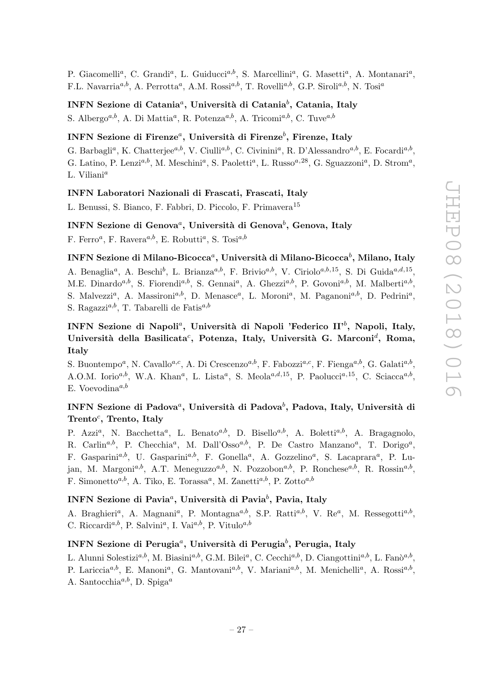P. Giacomelli<sup>a</sup>, C. Grandi<sup>a</sup>, L. Guiducci<sup>a,b</sup>, S. Marcellini<sup>a</sup>, G. Masetti<sup>a</sup>, A. Montanari<sup>a</sup>, F.L. Navarria<sup>a,b</sup>, A. Perrotta<sup>a</sup>, A.M. Rossi<sup>a,b</sup>, T. Rovelli<sup>a,b</sup>, G.P. Siroli<sup>a,b</sup>, N. Tosi<sup>a</sup>

# INFN Sezione di Catania $^a,$  Università di Catania $^b,$  Catania, Italy

S. Albergo<sup>a,b</sup>, A. Di Mattia<sup>a</sup>, R. Potenza<sup>a,b</sup>, A. Tricomi<sup>a,b</sup>, C. Tuve<sup>a,b</sup>

# INFN Sezione di Firenze $^a,$  Università di Firenze $^b,$  Firenze, Italy

G. Barbagli<sup>a</sup>, K. Chatterjee<sup>a,b</sup>, V. Ciulli<sup>a,b</sup>, C. Civinini<sup>a</sup>, R. D'Alessandro<sup>a,b</sup>, E. Focardi<sup>a,b</sup>, G. Latino, P. Lenzi<sup>a,b</sup>, M. Meschini<sup>a</sup>, S. Paoletti<sup>a</sup>, L. Russo<sup>a, 28</sup>, G. Sguazzoni<sup>a</sup>, D. Strom<sup>a</sup>, L. Viliani $^a$ 

# INFN Laboratori Nazionali di Frascati, Frascati, Italy

L. Benussi, S. Bianco, F. Fabbri, D. Piccolo, F. Primavera<sup>15</sup>

# INFN Sezione di Genova $^a,$  Università di Genova $^b,$  Genova, Italy

F. Ferro<sup>a</sup>, F. Ravera<sup>a,b</sup>, E. Robutti<sup>a</sup>, S. Tosi<sup>a,b</sup>

INFN Sezione di Milano-Bicocca ${}^a,\,$ Università di Milano-Bicocca ${}^b,\,$ Milano, Italy A. Benaglia<sup>a</sup>, A. Beschi<sup>b</sup>, L. Brianza<sup>a,b</sup>, F. Brivio<sup>a,b</sup>, V. Ciriolo<sup>a,b,15</sup>, S. Di Guida<sup>a,d,15</sup>, M.E. Dinardo<sup>a,b</sup>, S. Fiorendi<sup>a,b</sup>, S. Gennai<sup>a</sup>, A. Ghezzi<sup>a,b</sup>, P. Govoni<sup>a,b</sup>, M. Malberti<sup>a,b</sup>, S. Malvezzi<sup>a</sup>, A. Massironi<sup>a,b</sup>, D. Menasce<sup>a</sup>, L. Moroni<sup>a</sup>, M. Paganoni<sup>a,b</sup>, D. Pedrini<sup>a</sup>, S. Ragazzi<sup>a,b</sup>, T. Tabarelli de Fatis<sup>a,b</sup>

# INFN Sezione di Napoli<sup>a</sup>, Università di Napoli 'Federico II'<sup>b</sup>, Napoli, Italy, Università della Basilicata<sup>c</sup>, Potenza, Italy, Università G. Marconi<sup>d</sup>, Roma, Italy

S. Buontempo<sup>a</sup>, N. Cavallo<sup>a,c</sup>, A. Di Crescenzo<sup>a,b</sup>, F. Fabozzi<sup>a,c</sup>, F. Fienga<sup>a,b</sup>, G. Galati<sup>a,b</sup>, A.O.M. Iorio<sup>a,b</sup>, W.A. Khan<sup>a</sup>, L. Lista<sup>a</sup>, S. Meola<sup>a,d,15</sup>, P. Paolucci<sup>a,15</sup>, C. Sciacca<sup>a,b</sup>, E. Voevodina $a,b$ 

# INFN Sezione di Padova ${}^a,\,$ Università di Padova ${}^b,\,$ Padova, Italy, Università di  $Trento<sup>c</sup>$ , Trento, Italy

P. Azzi<sup>a</sup>, N. Bacchetta<sup>a</sup>, L. Benato<sup>a,b</sup>, D. Bisello<sup>a,b</sup>, A. Boletti<sup>a,b</sup>, A. Bragagnolo, R. Carlin<sup>a,b</sup>, P. Checchia<sup>a</sup>, M. Dall'Osso<sup>a,b</sup>, P. De Castro Manzano<sup>a</sup>, T. Dorigo<sup>a</sup>, F. Gasparini<sup>a,b</sup>, U. Gasparini<sup>a,b</sup>, F. Gonella<sup>a</sup>, A. Gozzelino<sup>a</sup>, S. Lacaprara<sup>a</sup>, P. Lujan, M. Margoni<sup>a,b</sup>, A.T. Meneguzzo<sup>a,b</sup>, N. Pozzobon<sup>a,b</sup>, P. Ronchese<sup>a,b</sup>, R. Rossin<sup>a,b</sup>, F. Simonetto<sup>a,b</sup>, A. Tiko, E. Torassa<sup>a</sup>, M. Zanetti<sup>a,b</sup>, P. Zotto<sup>a,b</sup>

# INFN Sezione di Pavia $^a,$  Università di Pavia $^b,$  Pavia, Italy

A. Braghieri<sup>a</sup>, A. Magnani<sup>a</sup>, P. Montagna<sup>a,b</sup>, S.P. Ratti<sup>a,b</sup>, V. Re<sup>a</sup>, M. Ressegotti<sup>a,b</sup>, C. Riccardi<sup>a,b</sup>, P. Salvini<sup>a</sup>, I. Vai<sup>a,b</sup>, P. Vitulo<sup>a,b</sup>

# INFN Sezione di Perugia $^a,$  Università di Perugia $^b,$  Perugia, Italy

L. Alunni Solestizi<sup>a,b</sup>, M. Biasini<sup>a,b</sup>, G.M. Bilei<sup>a</sup>, C. Cecchi<sup>a,b</sup>, D. Ciangottini<sup>a,b</sup>, L. Fanò<sup>a,b</sup>, P. Lariccia<sup>a,b</sup>, E. Manoni<sup>a</sup>, G. Mantovani<sup>a,b</sup>, V. Mariani<sup>a,b</sup>, M. Menichelli<sup>a</sup>, A. Rossi<sup>a,b</sup>, A. Santocchia<sup>a,b</sup>, D. Spiga<sup>a</sup>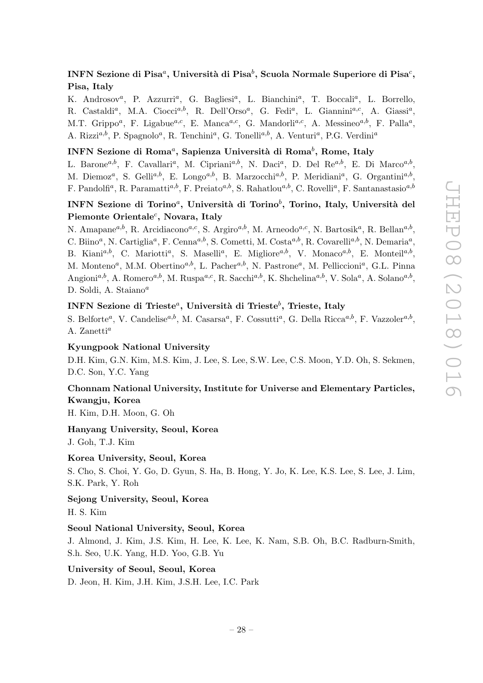# $\mathbf{INFN}$  Sezione di Pisa $^a, \mathbf{Universit\`a}$  di Pisa $^b, \mathbf{Scuola}$  Normale Superiore di Pisa $^c,$ Pisa, Italy

K. Androsov<sup>a</sup>, P. Azzurri<sup>a</sup>, G. Bagliesi<sup>a</sup>, L. Bianchini<sup>a</sup>, T. Boccali<sup>a</sup>, L. Borrello, R. Castaldi<sup>a</sup>, M.A. Ciocci<sup>a,b</sup>, R. Dell'Orso<sup>a</sup>, G. Fedi<sup>a</sup>, L. Giannini<sup>a,c</sup>, A. Giassi<sup>a</sup>, M.T. Grippo<sup>a</sup>, F. Ligabue<sup>a,c</sup>, E. Manca<sup>a,c</sup>, G. Mandorli<sup>a,c</sup>, A. Messineo<sup>a,b</sup>, F. Palla<sup>a</sup>, A. Rizzi<sup>a,b</sup>, P. Spagnolo<sup>a</sup>, R. Tenchini<sup>a</sup>, G. Tonelli<sup>a,b</sup>, A. Venturi<sup>a</sup>, P.G. Verdini<sup>a</sup>

# INFN Sezione di Roma $^a,$  Sapienza Università di Roma $^b,$  Rome, Italy

L. Barone<sup>a,b</sup>, F. Cavallari<sup>a</sup>, M. Cipriani<sup>a,b</sup>, N. Daci<sup>a</sup>, D. Del Re<sup>a,b</sup>, E. Di Marco<sup>a,b</sup>, M. Diemoz<sup>a</sup>, S. Gelli<sup>a,b</sup>, E. Longo<sup>a,b</sup>, B. Marzocchi<sup>a,b</sup>, P. Meridiani<sup>a</sup>, G. Organtini<sup>a,b</sup>, F. Pandolfi<sup>a</sup>, R. Paramatti<sup>a,b</sup>, F. Preiato<sup>a,b</sup>, S. Rahatlou<sup>a,b</sup>, C. Rovelli<sup>a</sup>, F. Santanastasio<sup>a,b</sup>

# ${\rm INFN}$  Sezione di Torino ${}^a,\; {\rm Università}$  di Torino ${}^b,\; {\rm Torino},\; {\rm Italy},\; {\rm Università}$  del  $\mathbf P$ iemonte  $\mathbf O$ rientale $^c,$  Novara, Italy

N. Amapane<sup>a,b</sup>, R. Arcidiacono<sup>a,c</sup>, S. Argiro<sup>a,b</sup>, M. Arneodo<sup>a,c</sup>, N. Bartosik<sup>a</sup>, R. Bellan<sup>a,b</sup>, C. Biino<sup>a</sup>, N. Cartiglia<sup>a</sup>, F. Cenna<sup>a,b</sup>, S. Cometti, M. Costa<sup>a,b</sup>, R. Covarelli<sup>a,b</sup>, N. Demaria<sup>a</sup>, B. Kiani<sup>a,b</sup>, C. Mariotti<sup>a</sup>, S. Maselli<sup>a</sup>, E. Migliore<sup>a,b</sup>, V. Monaco<sup>a,b</sup>, E. Monteil<sup>a,b</sup>, M. Monteno<sup>a</sup>, M.M. Obertino<sup>a,b</sup>, L. Pacher<sup>a,b</sup>, N. Pastrone<sup>a</sup>, M. Pelliccioni<sup>a</sup>, G.L. Pinna Angioni<sup>a,b</sup>, A. Romero<sup>a,b</sup>, M. Ruspa<sup>a,c</sup>, R. Sacchi<sup>a,b</sup>, K. Shchelina<sup>a,b</sup>, V. Sola<sup>a</sup>, A. Solano<sup>a,b</sup>, D. Soldi, A. Staiano<sup>a</sup>

# ${\rm INFN}$  Sezione di Trieste $^a,$  Università di Trieste $^b,$  Trieste, Italy

S. Belforte<sup>a</sup>, V. Candelise<sup>a,b</sup>, M. Casarsa<sup>a</sup>, F. Cossutti<sup>a</sup>, G. Della Ricca<sup>a,b</sup>, F. Vazzoler<sup>a,b</sup>, A. Zanetti<sup>a</sup>

### Kyungpook National University

D.H. Kim, G.N. Kim, M.S. Kim, J. Lee, S. Lee, S.W. Lee, C.S. Moon, Y.D. Oh, S. Sekmen, D.C. Son, Y.C. Yang

# Chonnam National University, Institute for Universe and Elementary Particles, Kwangju, Korea

H. Kim, D.H. Moon, G. Oh

# Hanyang University, Seoul, Korea

J. Goh, T.J. Kim

# Korea University, Seoul, Korea

S. Cho, S. Choi, Y. Go, D. Gyun, S. Ha, B. Hong, Y. Jo, K. Lee, K.S. Lee, S. Lee, J. Lim, S.K. Park, Y. Roh

Sejong University, Seoul, Korea H. S. Kim

# Seoul National University, Seoul, Korea

J. Almond, J. Kim, J.S. Kim, H. Lee, K. Lee, K. Nam, S.B. Oh, B.C. Radburn-Smith, S.h. Seo, U.K. Yang, H.D. Yoo, G.B. Yu

# University of Seoul, Seoul, Korea

D. Jeon, H. Kim, J.H. Kim, J.S.H. Lee, I.C. Park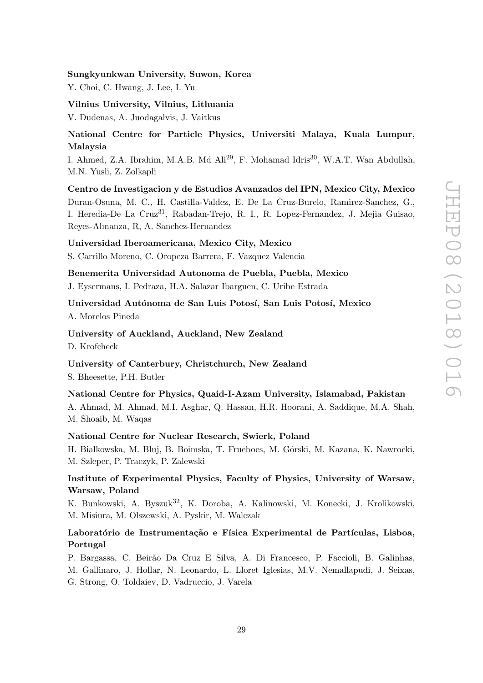#### Sungkyunkwan University, Suwon, Korea

Y. Choi, C. Hwang, J. Lee, I. Yu

Vilnius University, Vilnius, Lithuania

V. Dudenas, A. Juodagalvis, J. Vaitkus

# National Centre for Particle Physics, Universiti Malaya, Kuala Lumpur, Malaysia

I. Ahmed, Z.A. Ibrahim, M.A.B. Md Ali<sup>29</sup>, F. Mohamad Idris<sup>30</sup>, W.A.T. Wan Abdullah, M.N. Yusli, Z. Zolkapli

Centro de Investigacion y de Estudios Avanzados del IPN, Mexico City, Mexico Duran-Osuna, M. C., H. Castilla-Valdez, E. De La Cruz-Burelo, Ramirez-Sanchez, G., I. Heredia-De La Cruz<sup>31</sup>, Rabadan-Trejo, R. I., R. Lopez-Fernandez, J. Mejia Guisao, Reyes-Almanza, R, A. Sanchez-Hernandez

Universidad Iberoamericana, Mexico City, Mexico S. Carrillo Moreno, C. Oropeza Barrera, F. Vazquez Valencia

Benemerita Universidad Autonoma de Puebla, Puebla, Mexico

J. Eysermans, I. Pedraza, H.A. Salazar Ibarguen, C. Uribe Estrada

Universidad Autónoma de San Luis Potosí, San Luis Potosí, Mexico A. Morelos Pineda

University of Auckland, Auckland, New Zealand D. Krofcheck

University of Canterbury, Christchurch, New Zealand

S. Bheesette, P.H. Butler

# National Centre for Physics, Quaid-I-Azam University, Islamabad, Pakistan

A. Ahmad, M. Ahmad, M.I. Asghar, Q. Hassan, H.R. Hoorani, A. Saddique, M.A. Shah, M. Shoaib, M. Waqas

#### National Centre for Nuclear Research, Swierk, Poland

H. Bialkowska, M. Bluj, B. Boimska, T. Frueboes, M. G´orski, M. Kazana, K. Nawrocki, M. Szleper, P. Traczyk, P. Zalewski

# Institute of Experimental Physics, Faculty of Physics, University of Warsaw, Warsaw, Poland

K. Bunkowski, A. Byszuk<sup>32</sup>, K. Doroba, A. Kalinowski, M. Konecki, J. Krolikowski, M. Misiura, M. Olszewski, A. Pyskir, M. Walczak

# Laboratório de Instrumentação e Física Experimental de Partículas, Lisboa, Portugal

P. Bargassa, C. Beirão Da Cruz E Silva, A. Di Francesco, P. Faccioli, B. Galinhas, M. Gallinaro, J. Hollar, N. Leonardo, L. Lloret Iglesias, M.V. Nemallapudi, J. Seixas, G. Strong, O. Toldaiev, D. Vadruccio, J. Varela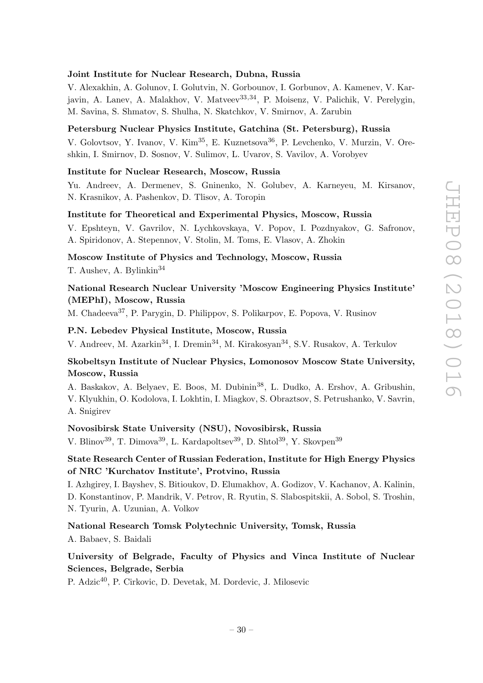#### Joint Institute for Nuclear Research, Dubna, Russia

V. Alexakhin, A. Golunov, I. Golutvin, N. Gorbounov, I. Gorbunov, A. Kamenev, V. Karjavin, A. Lanev, A. Malakhov, V. Matveev<sup>33,34</sup>, P. Moisenz, V. Palichik, V. Perelygin, M. Savina, S. Shmatov, S. Shulha, N. Skatchkov, V. Smirnov, A. Zarubin

### Petersburg Nuclear Physics Institute, Gatchina (St. Petersburg), Russia

V. Golovtsov, Y. Ivanov, V. Kim35, E. Kuznetsova36, P. Levchenko, V. Murzin, V. Oreshkin, I. Smirnov, D. Sosnov, V. Sulimov, L. Uvarov, S. Vavilov, A. Vorobyev

#### Institute for Nuclear Research, Moscow, Russia

Yu. Andreev, A. Dermenev, S. Gninenko, N. Golubev, A. Karneyeu, M. Kirsanov, N. Krasnikov, A. Pashenkov, D. Tlisov, A. Toropin

#### Institute for Theoretical and Experimental Physics, Moscow, Russia

V. Epshteyn, V. Gavrilov, N. Lychkovskaya, V. Popov, I. Pozdnyakov, G. Safronov, A. Spiridonov, A. Stepennov, V. Stolin, M. Toms, E. Vlasov, A. Zhokin

Moscow Institute of Physics and Technology, Moscow, Russia

T. Aushev, A. Bylinkin<sup>34</sup>

# National Research Nuclear University 'Moscow Engineering Physics Institute' (MEPhI), Moscow, Russia

M. Chadeeva37, P. Parygin, D. Philippov, S. Polikarpov, E. Popova, V. Rusinov

### P.N. Lebedev Physical Institute, Moscow, Russia

V. Andreev, M. Azarkin34, I. Dremin34, M. Kirakosyan34, S.V. Rusakov, A. Terkulov

# Skobeltsyn Institute of Nuclear Physics, Lomonosov Moscow State University, Moscow, Russia

A. Baskakov, A. Belyaev, E. Boos, M. Dubinin<sup>38</sup>, L. Dudko, A. Ershov, A. Gribushin, V. Klyukhin, O. Kodolova, I. Lokhtin, I. Miagkov, S. Obraztsov, S. Petrushanko, V. Savrin, A. Snigirev

### Novosibirsk State University (NSU), Novosibirsk, Russia

V. Blinov<sup>39</sup>, T. Dimova<sup>39</sup>, L. Kardapoltsev<sup>39</sup>, D. Shtol<sup>39</sup>, Y. Skovpen<sup>39</sup>

# State Research Center of Russian Federation, Institute for High Energy Physics of NRC 'Kurchatov Institute', Protvino, Russia

I. Azhgirey, I. Bayshev, S. Bitioukov, D. Elumakhov, A. Godizov, V. Kachanov, A. Kalinin, D. Konstantinov, P. Mandrik, V. Petrov, R. Ryutin, S. Slabospitskii, A. Sobol, S. Troshin, N. Tyurin, A. Uzunian, A. Volkov

National Research Tomsk Polytechnic University, Tomsk, Russia

A. Babaev, S. Baidali

# University of Belgrade, Faculty of Physics and Vinca Institute of Nuclear Sciences, Belgrade, Serbia

P. Adzic40, P. Cirkovic, D. Devetak, M. Dordevic, J. Milosevic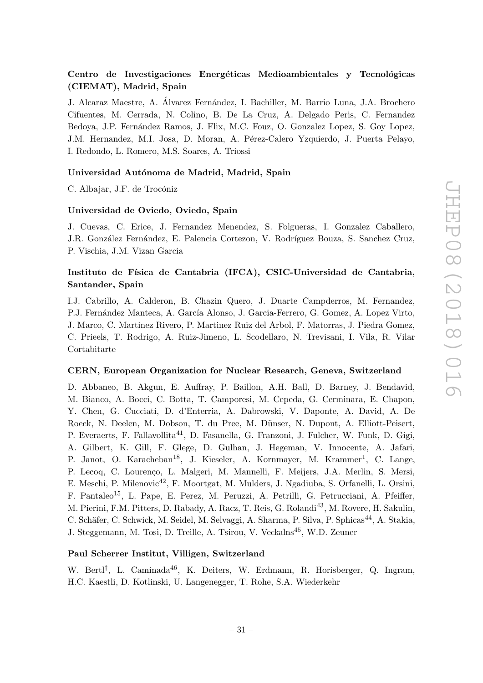# Centro de Investigaciones Energéticas Medioambientales y Tecnológicas (CIEMAT), Madrid, Spain

J. Alcaraz Maestre, A. Alvarez Fern´andez, I. Bachiller, M. Barrio Luna, J.A. Brochero ´ Cifuentes, M. Cerrada, N. Colino, B. De La Cruz, A. Delgado Peris, C. Fernandez Bedoya, J.P. Fernández Ramos, J. Flix, M.C. Fouz, O. Gonzalez Lopez, S. Goy Lopez, J.M. Hernandez, M.I. Josa, D. Moran, A. Pérez-Calero Yzquierdo, J. Puerta Pelayo, I. Redondo, L. Romero, M.S. Soares, A. Triossi

### Universidad Autónoma de Madrid, Madrid, Spain

C. Albajar, J.F. de Trocóniz

#### Universidad de Oviedo, Oviedo, Spain

J. Cuevas, C. Erice, J. Fernandez Menendez, S. Folgueras, I. Gonzalez Caballero, J.R. González Fernández, E. Palencia Cortezon, V. Rodríguez Bouza, S. Sanchez Cruz, P. Vischia, J.M. Vizan Garcia

# Instituto de Física de Cantabria (IFCA), CSIC-Universidad de Cantabria, Santander, Spain

I.J. Cabrillo, A. Calderon, B. Chazin Quero, J. Duarte Campderros, M. Fernandez, P.J. Fernández Manteca, A. García Alonso, J. Garcia-Ferrero, G. Gomez, A. Lopez Virto, J. Marco, C. Martinez Rivero, P. Martinez Ruiz del Arbol, F. Matorras, J. Piedra Gomez, C. Prieels, T. Rodrigo, A. Ruiz-Jimeno, L. Scodellaro, N. Trevisani, I. Vila, R. Vilar Cortabitarte

#### CERN, European Organization for Nuclear Research, Geneva, Switzerland

D. Abbaneo, B. Akgun, E. Auffray, P. Baillon, A.H. Ball, D. Barney, J. Bendavid, M. Bianco, A. Bocci, C. Botta, T. Camporesi, M. Cepeda, G. Cerminara, E. Chapon, Y. Chen, G. Cucciati, D. d'Enterria, A. Dabrowski, V. Daponte, A. David, A. De Roeck, N. Deelen, M. Dobson, T. du Pree, M. Dünser, N. Dupont, A. Elliott-Peisert, P. Everaerts, F. Fallavollita<sup>41</sup>, D. Fasanella, G. Franzoni, J. Fulcher, W. Funk, D. Gigi, A. Gilbert, K. Gill, F. Glege, D. Gulhan, J. Hegeman, V. Innocente, A. Jafari, P. Janot, O. Karacheban<sup>18</sup>, J. Kieseler, A. Kornmayer, M. Krammer<sup>1</sup>, C. Lange, P. Lecoq, C. Lourenço, L. Malgeri, M. Mannelli, F. Meijers, J.A. Merlin, S. Mersi, E. Meschi, P. Milenovic<sup>42</sup>, F. Moortgat, M. Mulders, J. Ngadiuba, S. Orfanelli, L. Orsini, F. Pantaleo<sup>15</sup>, L. Pape, E. Perez, M. Peruzzi, A. Petrilli, G. Petrucciani, A. Pfeiffer, M. Pierini, F.M. Pitters, D. Rabady, A. Racz, T. Reis, G. Rolandi<sup>43</sup>, M. Rovere, H. Sakulin, C. Schäfer, C. Schwick, M. Seidel, M. Selvaggi, A. Sharma, P. Silva, P. Sphicas<sup>44</sup>, A. Stakia, J. Steggemann, M. Tosi, D. Treille, A. Tsirou, V. Veckalns<sup>45</sup>, W.D. Zeuner

### Paul Scherrer Institut, Villigen, Switzerland

W. Bertl<sup>†</sup>, L. Caminada<sup>46</sup>, K. Deiters, W. Erdmann, R. Horisberger, Q. Ingram, H.C. Kaestli, D. Kotlinski, U. Langenegger, T. Rohe, S.A. Wiederkehr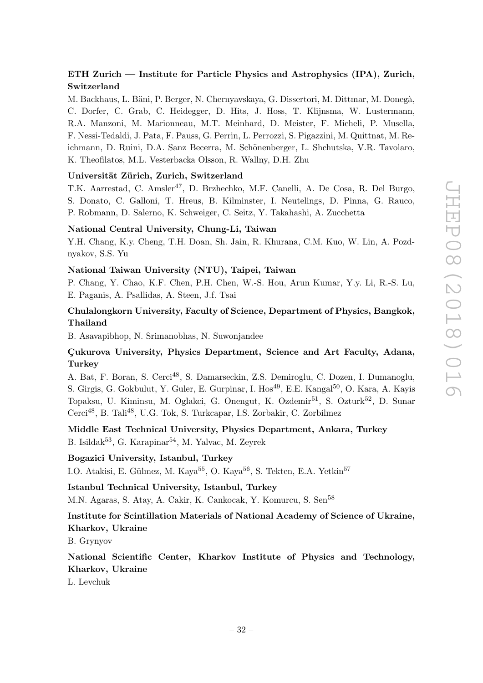# ETH Zurich — Institute for Particle Physics and Astrophysics (IPA), Zurich, Switzerland

M. Backhaus, L. Bäni, P. Berger, N. Chernyavskaya, G. Dissertori, M. Dittmar, M. Donegà, C. Dorfer, C. Grab, C. Heidegger, D. Hits, J. Hoss, T. Klijnsma, W. Lustermann, R.A. Manzoni, M. Marionneau, M.T. Meinhard, D. Meister, F. Micheli, P. Musella, F. Nessi-Tedaldi, J. Pata, F. Pauss, G. Perrin, L. Perrozzi, S. Pigazzini, M. Quittnat, M. Reichmann, D. Ruini, D.A. Sanz Becerra, M. Schönenberger, L. Shchutska, V.R. Tavolaro, K. Theofilatos, M.L. Vesterbacka Olsson, R. Wallny, D.H. Zhu

# Universität Zürich, Zurich, Switzerland

T.K. Aarrestad, C. Amsler47, D. Brzhechko, M.F. Canelli, A. De Cosa, R. Del Burgo, S. Donato, C. Galloni, T. Hreus, B. Kilminster, I. Neutelings, D. Pinna, G. Rauco, P. Robmann, D. Salerno, K. Schweiger, C. Seitz, Y. Takahashi, A. Zucchetta

### National Central University, Chung-Li, Taiwan

Y.H. Chang, K.y. Cheng, T.H. Doan, Sh. Jain, R. Khurana, C.M. Kuo, W. Lin, A. Pozdnyakov, S.S. Yu

# National Taiwan University (NTU), Taipei, Taiwan

P. Chang, Y. Chao, K.F. Chen, P.H. Chen, W.-S. Hou, Arun Kumar, Y.y. Li, R.-S. Lu, E. Paganis, A. Psallidas, A. Steen, J.f. Tsai

# Chulalongkorn University, Faculty of Science, Department of Physics, Bangkok, Thailand

B. Asavapibhop, N. Srimanobhas, N. Suwonjandee

# Cukurova University, Physics Department, Science and Art Faculty, Adana, **Turkey**

A. Bat, F. Boran, S. Cerci48, S. Damarseckin, Z.S. Demiroglu, C. Dozen, I. Dumanoglu, S. Girgis, G. Gokbulut, Y. Guler, E. Gurpinar, I. Hos<sup>49</sup>, E.E. Kangal<sup>50</sup>, O. Kara, A. Kavis Topaksu, U. Kiminsu, M. Oglakci, G. Onengut, K. Ozdemir<sup>51</sup>, S. Ozturk<sup>52</sup>, D. Sunar Cerci48, B. Tali48, U.G. Tok, S. Turkcapar, I.S. Zorbakir, C. Zorbilmez

# Middle East Technical University, Physics Department, Ankara, Turkey

B. Isildak<sup>53</sup>, G. Karapinar<sup>54</sup>, M. Yalvac, M. Zeyrek

# Bogazici University, Istanbul, Turkey

I.O. Atakisi, E. Gülmez, M. Kaya<sup>55</sup>, O. Kaya<sup>56</sup>, S. Tekten, E.A. Yetkin<sup>57</sup>

### Istanbul Technical University, Istanbul, Turkey

M.N. Agaras, S. Atay, A. Cakir, K. Cankocak, Y. Komurcu, S. Sen<sup>58</sup>

# Institute for Scintillation Materials of National Academy of Science of Ukraine, Kharkov, Ukraine

B. Grynyov

# National Scientific Center, Kharkov Institute of Physics and Technology, Kharkov, Ukraine

L. Levchuk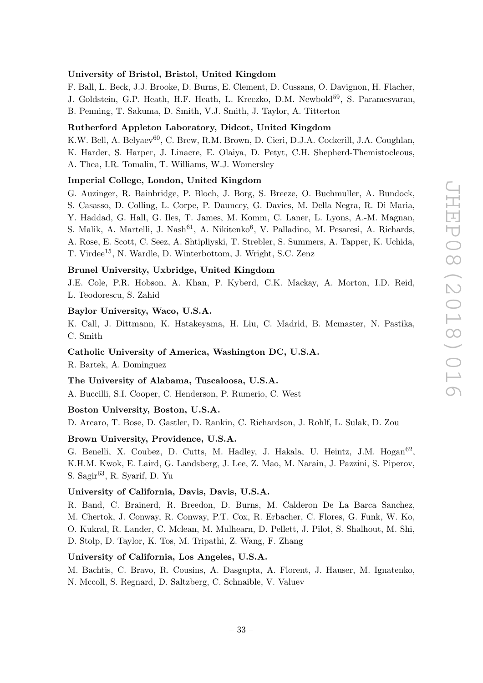### University of Bristol, Bristol, United Kingdom

F. Ball, L. Beck, J.J. Brooke, D. Burns, E. Clement, D. Cussans, O. Davignon, H. Flacher,

J. Goldstein, G.P. Heath, H.F. Heath, L. Kreczko, D.M. Newbold<sup>59</sup>, S. Paramesvaran,

B. Penning, T. Sakuma, D. Smith, V.J. Smith, J. Taylor, A. Titterton

#### Rutherford Appleton Laboratory, Didcot, United Kingdom

K.W. Bell, A. Belyaev<sup>60</sup>, C. Brew, R.M. Brown, D. Cieri, D.J.A. Cockerill, J.A. Coughlan, K. Harder, S. Harper, J. Linacre, E. Olaiya, D. Petyt, C.H. Shepherd-Themistocleous,

A. Thea, I.R. Tomalin, T. Williams, W.J. Womersley

# Imperial College, London, United Kingdom

G. Auzinger, R. Bainbridge, P. Bloch, J. Borg, S. Breeze, O. Buchmuller, A. Bundock, S. Casasso, D. Colling, L. Corpe, P. Dauncey, G. Davies, M. Della Negra, R. Di Maria, Y. Haddad, G. Hall, G. Iles, T. James, M. Komm, C. Laner, L. Lyons, A.-M. Magnan, S. Malik, A. Martelli, J. Nash<sup>61</sup>, A. Nikitenko<sup>6</sup>, V. Palladino, M. Pesaresi, A. Richards, A. Rose, E. Scott, C. Seez, A. Shtipliyski, T. Strebler, S. Summers, A. Tapper, K. Uchida, T. Virdee15, N. Wardle, D. Winterbottom, J. Wright, S.C. Zenz

## Brunel University, Uxbridge, United Kingdom

J.E. Cole, P.R. Hobson, A. Khan, P. Kyberd, C.K. Mackay, A. Morton, I.D. Reid, L. Teodorescu, S. Zahid

#### Baylor University, Waco, U.S.A.

K. Call, J. Dittmann, K. Hatakeyama, H. Liu, C. Madrid, B. Mcmaster, N. Pastika, C. Smith

#### Catholic University of America, Washington DC, U.S.A.

R. Bartek, A. Dominguez

#### The University of Alabama, Tuscaloosa, U.S.A.

A. Buccilli, S.I. Cooper, C. Henderson, P. Rumerio, C. West

#### Boston University, Boston, U.S.A.

D. Arcaro, T. Bose, D. Gastler, D. Rankin, C. Richardson, J. Rohlf, L. Sulak, D. Zou

#### Brown University, Providence, U.S.A.

G. Benelli, X. Coubez, D. Cutts, M. Hadley, J. Hakala, U. Heintz, J.M. Hogan<sup>62</sup>, K.H.M. Kwok, E. Laird, G. Landsberg, J. Lee, Z. Mao, M. Narain, J. Pazzini, S. Piperov, S. Sagir63, R. Syarif, D. Yu

#### University of California, Davis, Davis, U.S.A.

R. Band, C. Brainerd, R. Breedon, D. Burns, M. Calderon De La Barca Sanchez, M. Chertok, J. Conway, R. Conway, P.T. Cox, R. Erbacher, C. Flores, G. Funk, W. Ko, O. Kukral, R. Lander, C. Mclean, M. Mulhearn, D. Pellett, J. Pilot, S. Shalhout, M. Shi, D. Stolp, D. Taylor, K. Tos, M. Tripathi, Z. Wang, F. Zhang

#### University of California, Los Angeles, U.S.A.

M. Bachtis, C. Bravo, R. Cousins, A. Dasgupta, A. Florent, J. Hauser, M. Ignatenko, N. Mccoll, S. Regnard, D. Saltzberg, C. Schnaible, V. Valuev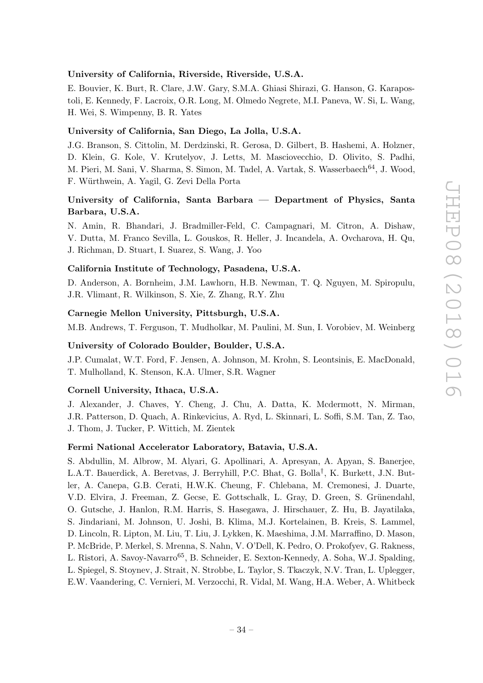### University of California, Riverside, Riverside, U.S.A.

E. Bouvier, K. Burt, R. Clare, J.W. Gary, S.M.A. Ghiasi Shirazi, G. Hanson, G. Karapostoli, E. Kennedy, F. Lacroix, O.R. Long, M. Olmedo Negrete, M.I. Paneva, W. Si, L. Wang, H. Wei, S. Wimpenny, B. R. Yates

#### University of California, San Diego, La Jolla, U.S.A.

J.G. Branson, S. Cittolin, M. Derdzinski, R. Gerosa, D. Gilbert, B. Hashemi, A. Holzner, D. Klein, G. Kole, V. Krutelyov, J. Letts, M. Masciovecchio, D. Olivito, S. Padhi, M. Pieri, M. Sani, V. Sharma, S. Simon, M. Tadel, A. Vartak, S. Wasserbaech<sup>64</sup>, J. Wood, F. Würthwein, A. Yagil, G. Zevi Della Porta

# University of California, Santa Barbara — Department of Physics, Santa Barbara, U.S.A.

N. Amin, R. Bhandari, J. Bradmiller-Feld, C. Campagnari, M. Citron, A. Dishaw, V. Dutta, M. Franco Sevilla, L. Gouskos, R. Heller, J. Incandela, A. Ovcharova, H. Qu, J. Richman, D. Stuart, I. Suarez, S. Wang, J. Yoo

#### California Institute of Technology, Pasadena, U.S.A.

D. Anderson, A. Bornheim, J.M. Lawhorn, H.B. Newman, T. Q. Nguyen, M. Spiropulu, J.R. Vlimant, R. Wilkinson, S. Xie, Z. Zhang, R.Y. Zhu

#### Carnegie Mellon University, Pittsburgh, U.S.A.

M.B. Andrews, T. Ferguson, T. Mudholkar, M. Paulini, M. Sun, I. Vorobiev, M. Weinberg

#### University of Colorado Boulder, Boulder, U.S.A.

J.P. Cumalat, W.T. Ford, F. Jensen, A. Johnson, M. Krohn, S. Leontsinis, E. MacDonald, T. Mulholland, K. Stenson, K.A. Ulmer, S.R. Wagner

#### Cornell University, Ithaca, U.S.A.

J. Alexander, J. Chaves, Y. Cheng, J. Chu, A. Datta, K. Mcdermott, N. Mirman, J.R. Patterson, D. Quach, A. Rinkevicius, A. Ryd, L. Skinnari, L. Soffi, S.M. Tan, Z. Tao, J. Thom, J. Tucker, P. Wittich, M. Zientek

### Fermi National Accelerator Laboratory, Batavia, U.S.A.

S. Abdullin, M. Albrow, M. Alyari, G. Apollinari, A. Apresyan, A. Apyan, S. Banerjee, L.A.T. Bauerdick, A. Beretvas, J. Berryhill, P.C. Bhat, G. Bolla† , K. Burkett, J.N. Butler, A. Canepa, G.B. Cerati, H.W.K. Cheung, F. Chlebana, M. Cremonesi, J. Duarte, V.D. Elvira, J. Freeman, Z. Gecse, E. Gottschalk, L. Gray, D. Green, S. Grünendahl, O. Gutsche, J. Hanlon, R.M. Harris, S. Hasegawa, J. Hirschauer, Z. Hu, B. Jayatilaka, S. Jindariani, M. Johnson, U. Joshi, B. Klima, M.J. Kortelainen, B. Kreis, S. Lammel, D. Lincoln, R. Lipton, M. Liu, T. Liu, J. Lykken, K. Maeshima, J.M. Marraffino, D. Mason, P. McBride, P. Merkel, S. Mrenna, S. Nahn, V. O'Dell, K. Pedro, O. Prokofyev, G. Rakness, L. Ristori, A. Savoy-Navarro<sup>65</sup>, B. Schneider, E. Sexton-Kennedy, A. Soha, W.J. Spalding, L. Spiegel, S. Stoynev, J. Strait, N. Strobbe, L. Taylor, S. Tkaczyk, N.V. Tran, L. Uplegger, E.W. Vaandering, C. Vernieri, M. Verzocchi, R. Vidal, M. Wang, H.A. Weber, A. Whitbeck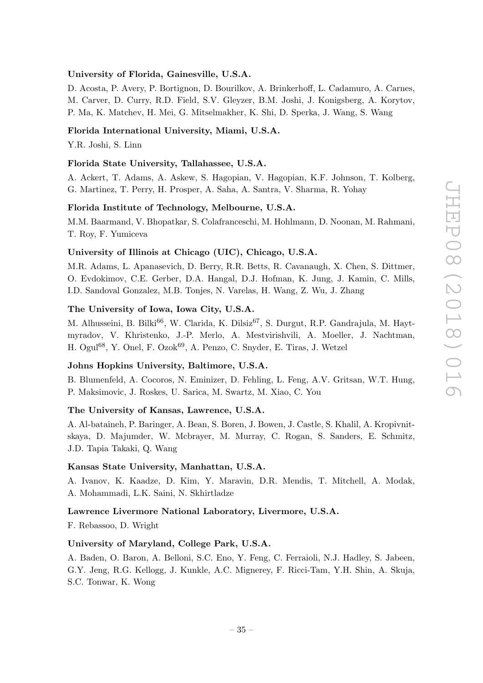#### University of Florida, Gainesville, U.S.A.

D. Acosta, P. Avery, P. Bortignon, D. Bourilkov, A. Brinkerhoff, L. Cadamuro, A. Carnes, M. Carver, D. Curry, R.D. Field, S.V. Gleyzer, B.M. Joshi, J. Konigsberg, A. Korytov, P. Ma, K. Matchev, H. Mei, G. Mitselmakher, K. Shi, D. Sperka, J. Wang, S. Wang

#### Florida International University, Miami, U.S.A.

Y.R. Joshi, S. Linn

# Florida State University, Tallahassee, U.S.A.

A. Ackert, T. Adams, A. Askew, S. Hagopian, V. Hagopian, K.F. Johnson, T. Kolberg, G. Martinez, T. Perry, H. Prosper, A. Saha, A. Santra, V. Sharma, R. Yohay

### Florida Institute of Technology, Melbourne, U.S.A.

M.M. Baarmand, V. Bhopatkar, S. Colafranceschi, M. Hohlmann, D. Noonan, M. Rahmani, T. Roy, F. Yumiceva

### University of Illinois at Chicago (UIC), Chicago, U.S.A.

M.R. Adams, L. Apanasevich, D. Berry, R.R. Betts, R. Cavanaugh, X. Chen, S. Dittmer, O. Evdokimov, C.E. Gerber, D.A. Hangal, D.J. Hofman, K. Jung, J. Kamin, C. Mills, I.D. Sandoval Gonzalez, M.B. Tonjes, N. Varelas, H. Wang, Z. Wu, J. Zhang

### The University of Iowa, Iowa City, U.S.A.

M. Alhusseini, B. Bilki<sup>66</sup>, W. Clarida, K. Dilsiz<sup>67</sup>, S. Durgut, R.P. Gandrajula, M. Haytmyradov, V. Khristenko, J.-P. Merlo, A. Mestvirishvili, A. Moeller, J. Nachtman, H. Ogul<sup>68</sup>, Y. Onel, F. Ozok<sup>69</sup>, A. Penzo, C. Snyder, E. Tiras, J. Wetzel

#### Johns Hopkins University, Baltimore, U.S.A.

B. Blumenfeld, A. Cocoros, N. Eminizer, D. Fehling, L. Feng, A.V. Gritsan, W.T. Hung, P. Maksimovic, J. Roskes, U. Sarica, M. Swartz, M. Xiao, C. You

#### The University of Kansas, Lawrence, U.S.A.

A. Al-bataineh, P. Baringer, A. Bean, S. Boren, J. Bowen, J. Castle, S. Khalil, A. Kropivnitskaya, D. Majumder, W. Mcbrayer, M. Murray, C. Rogan, S. Sanders, E. Schmitz, J.D. Tapia Takaki, Q. Wang

#### Kansas State University, Manhattan, U.S.A.

A. Ivanov, K. Kaadze, D. Kim, Y. Maravin, D.R. Mendis, T. Mitchell, A. Modak, A. Mohammadi, L.K. Saini, N. Skhirtladze

#### Lawrence Livermore National Laboratory, Livermore, U.S.A.

F. Rebassoo, D. Wright

### University of Maryland, College Park, U.S.A.

A. Baden, O. Baron, A. Belloni, S.C. Eno, Y. Feng, C. Ferraioli, N.J. Hadley, S. Jabeen, G.Y. Jeng, R.G. Kellogg, J. Kunkle, A.C. Mignerey, F. Ricci-Tam, Y.H. Shin, A. Skuja, S.C. Tonwar, K. Wong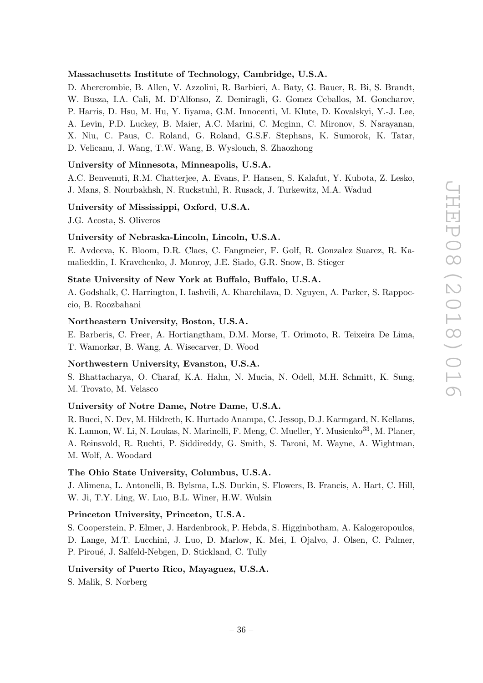### Massachusetts Institute of Technology, Cambridge, U.S.A.

D. Abercrombie, B. Allen, V. Azzolini, R. Barbieri, A. Baty, G. Bauer, R. Bi, S. Brandt, W. Busza, I.A. Cali, M. D'Alfonso, Z. Demiragli, G. Gomez Ceballos, M. Goncharov, P. Harris, D. Hsu, M. Hu, Y. Iiyama, G.M. Innocenti, M. Klute, D. Kovalskyi, Y.-J. Lee, A. Levin, P.D. Luckey, B. Maier, A.C. Marini, C. Mcginn, C. Mironov, S. Narayanan, X. Niu, C. Paus, C. Roland, G. Roland, G.S.F. Stephans, K. Sumorok, K. Tatar, D. Velicanu, J. Wang, T.W. Wang, B. Wyslouch, S. Zhaozhong

## University of Minnesota, Minneapolis, U.S.A.

A.C. Benvenuti, R.M. Chatterjee, A. Evans, P. Hansen, S. Kalafut, Y. Kubota, Z. Lesko, J. Mans, S. Nourbakhsh, N. Ruckstuhl, R. Rusack, J. Turkewitz, M.A. Wadud

#### University of Mississippi, Oxford, U.S.A.

J.G. Acosta, S. Oliveros

### University of Nebraska-Lincoln, Lincoln, U.S.A.

E. Avdeeva, K. Bloom, D.R. Claes, C. Fangmeier, F. Golf, R. Gonzalez Suarez, R. Kamalieddin, I. Kravchenko, J. Monroy, J.E. Siado, G.R. Snow, B. Stieger

#### State University of New York at Buffalo, Buffalo, U.S.A.

A. Godshalk, C. Harrington, I. Iashvili, A. Kharchilava, D. Nguyen, A. Parker, S. Rappoccio, B. Roozbahani

#### Northeastern University, Boston, U.S.A.

E. Barberis, C. Freer, A. Hortiangtham, D.M. Morse, T. Orimoto, R. Teixeira De Lima, T. Wamorkar, B. Wang, A. Wisecarver, D. Wood

#### Northwestern University, Evanston, U.S.A.

S. Bhattacharya, O. Charaf, K.A. Hahn, N. Mucia, N. Odell, M.H. Schmitt, K. Sung, M. Trovato, M. Velasco

# University of Notre Dame, Notre Dame, U.S.A.

R. Bucci, N. Dev, M. Hildreth, K. Hurtado Anampa, C. Jessop, D.J. Karmgard, N. Kellams, K. Lannon, W. Li, N. Loukas, N. Marinelli, F. Meng, C. Mueller, Y. Musienko<sup>33</sup>, M. Planer, A. Reinsvold, R. Ruchti, P. Siddireddy, G. Smith, S. Taroni, M. Wayne, A. Wightman, M. Wolf, A. Woodard

#### The Ohio State University, Columbus, U.S.A.

J. Alimena, L. Antonelli, B. Bylsma, L.S. Durkin, S. Flowers, B. Francis, A. Hart, C. Hill, W. Ji, T.Y. Ling, W. Luo, B.L. Winer, H.W. Wulsin

# Princeton University, Princeton, U.S.A.

S. Cooperstein, P. Elmer, J. Hardenbrook, P. Hebda, S. Higginbotham, A. Kalogeropoulos, D. Lange, M.T. Lucchini, J. Luo, D. Marlow, K. Mei, I. Ojalvo, J. Olsen, C. Palmer, P. Piroué, J. Salfeld-Nebgen, D. Stickland, C. Tully

#### University of Puerto Rico, Mayaguez, U.S.A.

S. Malik, S. Norberg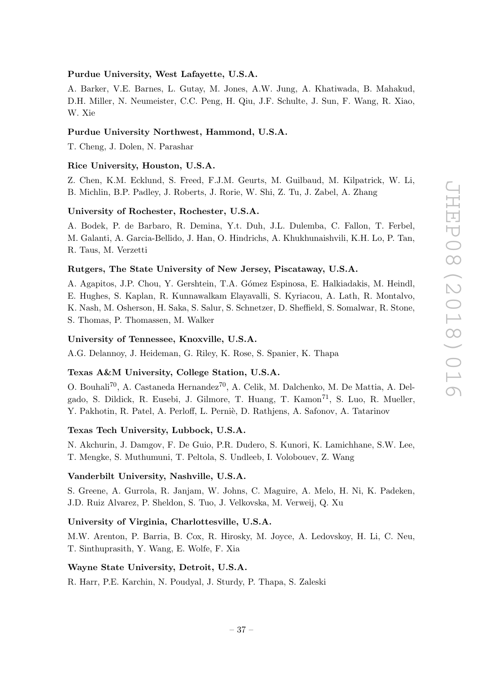#### Purdue University, West Lafayette, U.S.A.

A. Barker, V.E. Barnes, L. Gutay, M. Jones, A.W. Jung, A. Khatiwada, B. Mahakud, D.H. Miller, N. Neumeister, C.C. Peng, H. Qiu, J.F. Schulte, J. Sun, F. Wang, R. Xiao, W. Xie

#### Purdue University Northwest, Hammond, U.S.A.

T. Cheng, J. Dolen, N. Parashar

### Rice University, Houston, U.S.A.

Z. Chen, K.M. Ecklund, S. Freed, F.J.M. Geurts, M. Guilbaud, M. Kilpatrick, W. Li, B. Michlin, B.P. Padley, J. Roberts, J. Rorie, W. Shi, Z. Tu, J. Zabel, A. Zhang

#### University of Rochester, Rochester, U.S.A.

A. Bodek, P. de Barbaro, R. Demina, Y.t. Duh, J.L. Dulemba, C. Fallon, T. Ferbel, M. Galanti, A. Garcia-Bellido, J. Han, O. Hindrichs, A. Khukhunaishvili, K.H. Lo, P. Tan, R. Taus, M. Verzetti

### Rutgers, The State University of New Jersey, Piscataway, U.S.A.

A. Agapitos, J.P. Chou, Y. Gershtein, T.A. G´omez Espinosa, E. Halkiadakis, M. Heindl, E. Hughes, S. Kaplan, R. Kunnawalkam Elayavalli, S. Kyriacou, A. Lath, R. Montalvo, K. Nash, M. Osherson, H. Saka, S. Salur, S. Schnetzer, D. Sheffield, S. Somalwar, R. Stone, S. Thomas, P. Thomassen, M. Walker

#### University of Tennessee, Knoxville, U.S.A.

A.G. Delannoy, J. Heideman, G. Riley, K. Rose, S. Spanier, K. Thapa

#### Texas A&M University, College Station, U.S.A.

O. Bouhali<sup>70</sup>, A. Castaneda Hernandez<sup>70</sup>, A. Celik, M. Dalchenko, M. De Mattia, A. Delgado, S. Dildick, R. Eusebi, J. Gilmore, T. Huang, T. Kamon<sup>71</sup>, S. Luo, R. Mueller, Y. Pakhotin, R. Patel, A. Perloff, L. Perniè, D. Rathjens, A. Safonov, A. Tatarinov

## Texas Tech University, Lubbock, U.S.A.

N. Akchurin, J. Damgov, F. De Guio, P.R. Dudero, S. Kunori, K. Lamichhane, S.W. Lee, T. Mengke, S. Muthumuni, T. Peltola, S. Undleeb, I. Volobouev, Z. Wang

### Vanderbilt University, Nashville, U.S.A.

S. Greene, A. Gurrola, R. Janjam, W. Johns, C. Maguire, A. Melo, H. Ni, K. Padeken, J.D. Ruiz Alvarez, P. Sheldon, S. Tuo, J. Velkovska, M. Verweij, Q. Xu

#### University of Virginia, Charlottesville, U.S.A.

M.W. Arenton, P. Barria, B. Cox, R. Hirosky, M. Joyce, A. Ledovskoy, H. Li, C. Neu, T. Sinthuprasith, Y. Wang, E. Wolfe, F. Xia

#### Wayne State University, Detroit, U.S.A.

R. Harr, P.E. Karchin, N. Poudyal, J. Sturdy, P. Thapa, S. Zaleski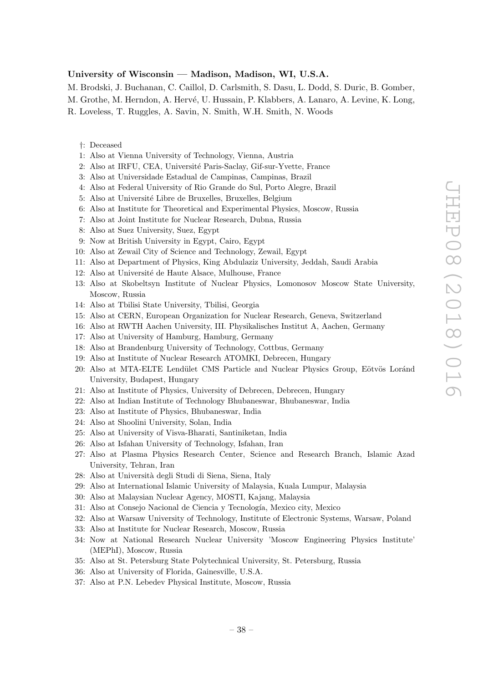# University of Wisconsin — Madison, Madison, WI, U.S.A.

M. Brodski, J. Buchanan, C. Caillol, D. Carlsmith, S. Dasu, L. Dodd, S. Duric, B. Gomber,

M. Grothe, M. Herndon, A. Hervé, U. Hussain, P. Klabbers, A. Lanaro, A. Levine, K. Long,

R. Loveless, T. Ruggles, A. Savin, N. Smith, W.H. Smith, N. Woods

- †: Deceased
- 1: Also at Vienna University of Technology, Vienna, Austria
- 2: Also at IRFU, CEA, Université Paris-Saclay, Gif-sur-Yvette, France
- 3: Also at Universidade Estadual de Campinas, Campinas, Brazil
- 4: Also at Federal University of Rio Grande do Sul, Porto Alegre, Brazil
- 5: Also at Université Libre de Bruxelles, Bruxelles, Belgium
- 6: Also at Institute for Theoretical and Experimental Physics, Moscow, Russia
- 7: Also at Joint Institute for Nuclear Research, Dubna, Russia
- 8: Also at Suez University, Suez, Egypt
- 9: Now at British University in Egypt, Cairo, Egypt
- 10: Also at Zewail City of Science and Technology, Zewail, Egypt
- 11: Also at Department of Physics, King Abdulaziz University, Jeddah, Saudi Arabia
- 12: Also at Université de Haute Alsace, Mulhouse, France
- 13: Also at Skobeltsyn Institute of Nuclear Physics, Lomonosov Moscow State University, Moscow, Russia
- 14: Also at Tbilisi State University, Tbilisi, Georgia
- 15: Also at CERN, European Organization for Nuclear Research, Geneva, Switzerland
- 16: Also at RWTH Aachen University, III. Physikalisches Institut A, Aachen, Germany
- 17: Also at University of Hamburg, Hamburg, Germany
- 18: Also at Brandenburg University of Technology, Cottbus, Germany
- 19: Also at Institute of Nuclear Research ATOMKI, Debrecen, Hungary
- 20: Also at MTA-ELTE Lendület CMS Particle and Nuclear Physics Group, Eötvös Loránd University, Budapest, Hungary
- 21: Also at Institute of Physics, University of Debrecen, Debrecen, Hungary
- 22: Also at Indian Institute of Technology Bhubaneswar, Bhubaneswar, India
- 23: Also at Institute of Physics, Bhubaneswar, India
- 24: Also at Shoolini University, Solan, India
- 25: Also at University of Visva-Bharati, Santiniketan, India
- 26: Also at Isfahan University of Technology, Isfahan, Iran
- 27: Also at Plasma Physics Research Center, Science and Research Branch, Islamic Azad University, Tehran, Iran
- 28: Also at Universit`a degli Studi di Siena, Siena, Italy
- 29: Also at International Islamic University of Malaysia, Kuala Lumpur, Malaysia
- 30: Also at Malaysian Nuclear Agency, MOSTI, Kajang, Malaysia
- 31: Also at Consejo Nacional de Ciencia y Tecnología, Mexico city, Mexico
- 32: Also at Warsaw University of Technology, Institute of Electronic Systems, Warsaw, Poland
- 33: Also at Institute for Nuclear Research, Moscow, Russia
- 34: Now at National Research Nuclear University 'Moscow Engineering Physics Institute' (MEPhI), Moscow, Russia
- 35: Also at St. Petersburg State Polytechnical University, St. Petersburg, Russia
- 36: Also at University of Florida, Gainesville, U.S.A.
- 37: Also at P.N. Lebedev Physical Institute, Moscow, Russia